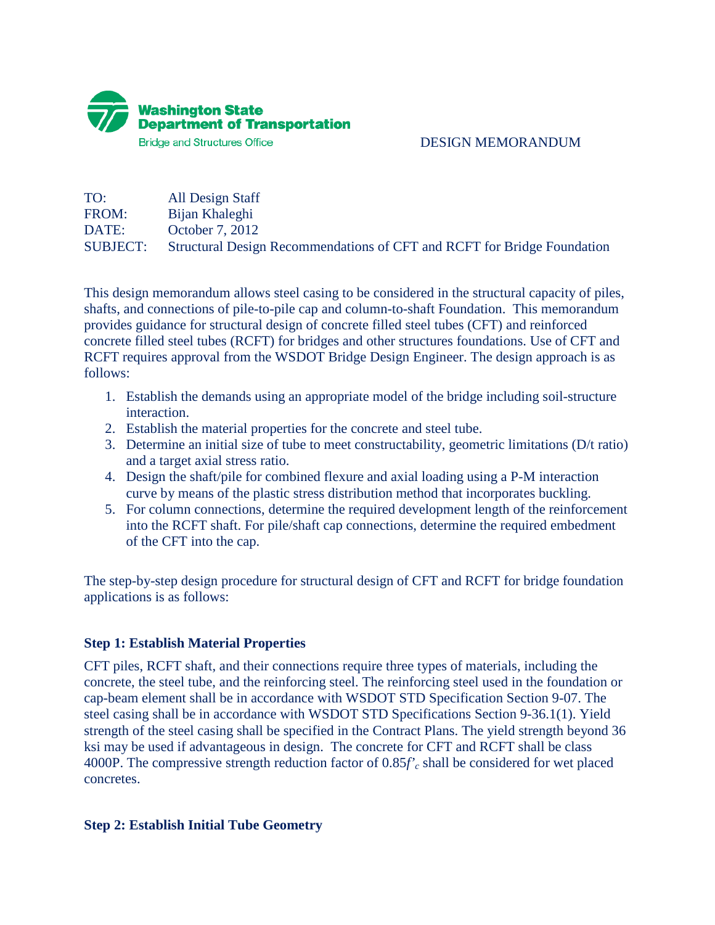

# DESIGN MEMORANDUM

| TO:             | All Design Staff                                                        |
|-----------------|-------------------------------------------------------------------------|
| FROM:           | Bijan Khaleghi                                                          |
| DATE:           | October 7, 2012                                                         |
| <b>SUBJECT:</b> | Structural Design Recommendations of CFT and RCFT for Bridge Foundation |

This design memorandum allows steel casing to be considered in the structural capacity of piles, shafts, and connections of pile-to-pile cap and column-to-shaft Foundation. This memorandum provides guidance for structural design of concrete filled steel tubes (CFT) and reinforced concrete filled steel tubes (RCFT) for bridges and other structures foundations. Use of CFT and RCFT requires approval from the WSDOT Bridge Design Engineer. The design approach is as follows:

- 1. Establish the demands using an appropriate model of the bridge including soil-structure interaction.
- 2. Establish the material properties for the concrete and steel tube.
- 3. Determine an initial size of tube to meet constructability, geometric limitations (D/t ratio) and a target axial stress ratio.
- 4. Design the shaft/pile for combined flexure and axial loading using a P-M interaction curve by means of the plastic stress distribution method that incorporates buckling.
- 5. For column connections, determine the required development length of the reinforcement into the RCFT shaft. For pile/shaft cap connections, determine the required embedment of the CFT into the cap.

The step-by-step design procedure for structural design of CFT and RCFT for bridge foundation applications is as follows:

## **Step 1: Establish Material Properties**

CFT piles, RCFT shaft, and their connections require three types of materials, including the concrete, the steel tube, and the reinforcing steel. The reinforcing steel used in the foundation or cap-beam element shall be in accordance with WSDOT STD Specification Section 9-07. The steel casing shall be in accordance with WSDOT STD Specifications Section 9-36.1(1). Yield strength of the steel casing shall be specified in the Contract Plans. The yield strength beyond 36 ksi may be used if advantageous in design. The concrete for CFT and RCFT shall be class 4000P. The compressive strength reduction factor of 0.85*f'c* shall be considered for wet placed concretes.

# **Step 2: Establish Initial Tube Geometry**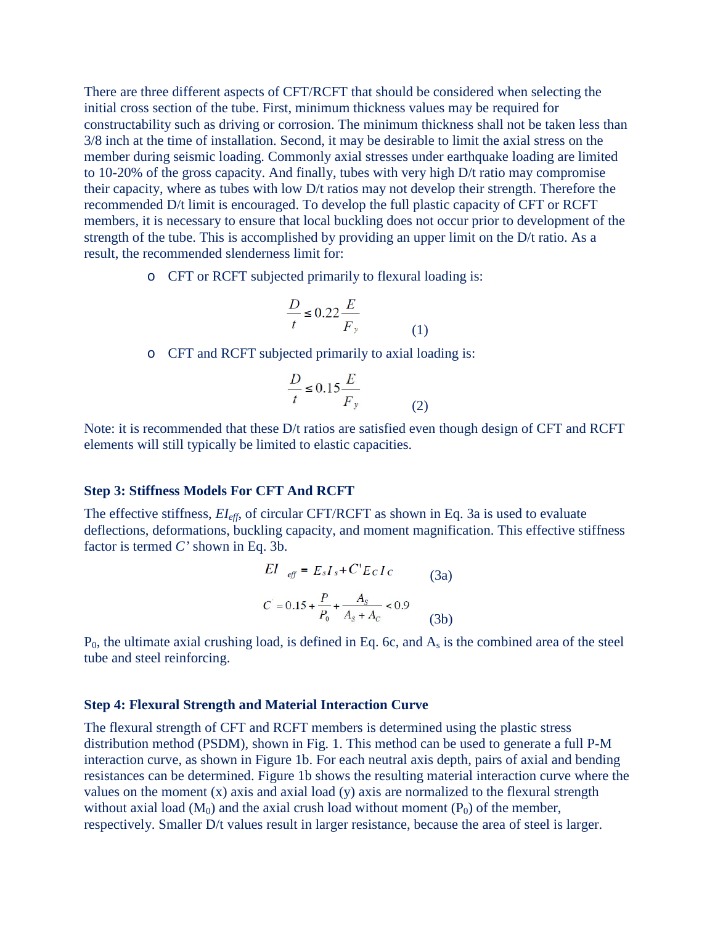There are three different aspects of CFT/RCFT that should be considered when selecting the initial cross section of the tube. First, minimum thickness values may be required for constructability such as driving or corrosion. The minimum thickness shall not be taken less than 3/8 inch at the time of installation. Second, it may be desirable to limit the axial stress on the member during seismic loading. Commonly axial stresses under earthquake loading are limited to 10-20% of the gross capacity. And finally, tubes with very high D/t ratio may compromise their capacity, where as tubes with low D/t ratios may not develop their strength. Therefore the recommended D/t limit is encouraged. To develop the full plastic capacity of CFT or RCFT members, it is necessary to ensure that local buckling does not occur prior to development of the strength of the tube. This is accomplished by providing an upper limit on the D/t ratio. As a result, the recommended slenderness limit for:

o CFT or RCFT subjected primarily to flexural loading is:

$$
\frac{D}{t} \le 0.22 \frac{E}{F_y} \tag{1}
$$

o CFT and RCFT subjected primarily to axial loading is:

$$
\frac{D}{t} \le 0.15 \frac{E}{F_y} \tag{2}
$$

Note: it is recommended that these D/t ratios are satisfied even though design of CFT and RCFT elements will still typically be limited to elastic capacities.

### **Step 3: Stiffness Models For CFT And RCFT**

The effective stiffness,  $EI_{\text{eff}}$ , of circular CFT/RCFT as shown in Eq. 3a is used to evaluate deflections, deformations, buckling capacity, and moment magnification. This effective stiffness factor is termed *C'* shown in Eq. 3b.

$$
EI_{eff} = E_s I_s + C' E_C I_C
$$
 (3a)  

$$
C' = 0.15 + \frac{P}{P_0} + \frac{A_s}{A_s + A_C} < 0.9
$$
 (3b)

 $P_0$ , the ultimate axial crushing load, is defined in Eq. 6c, and  $A_s$  is the combined area of the steel tube and steel reinforcing.

### **Step 4: Flexural Strength and Material Interaction Curve**

The flexural strength of CFT and RCFT members is determined using the plastic stress distribution method (PSDM), shown in Fig. 1. This method can be used to generate a full P-M interaction curve, as shown in Figure 1b. For each neutral axis depth, pairs of axial and bending resistances can be determined. Figure 1b shows the resulting material interaction curve where the values on the moment (x) axis and axial load (y) axis are normalized to the flexural strength without axial load ( $M_0$ ) and the axial crush load without moment ( $P_0$ ) of the member, respectively. Smaller D/t values result in larger resistance, because the area of steel is larger.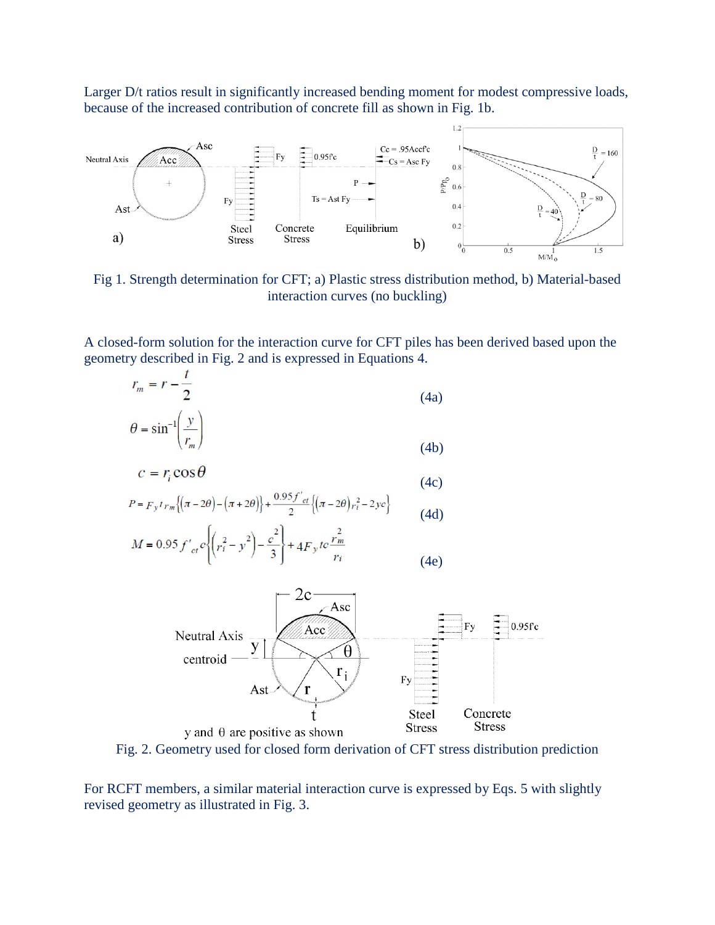Larger D/t ratios result in significantly increased bending moment for modest compressive loads, because of the increased contribution of concrete fill as shown in Fig. 1b.



Fig 1. Strength determination for CFT; a) Plastic stress distribution method, b) Material-based interaction curves (no buckling)

A closed-form solution for the interaction curve for CFT piles has been derived based upon the geometry described in Fig. 2 and is expressed in Equations 4.

| $r_m = r - \frac{1}{2}$                      | (4a) |
|----------------------------------------------|------|
| $heta = \sin^{-1}\left(\frac{y}{r_m}\right)$ | (4b) |

$$
c = r_i \cos \theta \tag{4c}
$$

$$
P = F_y t_{rm} \{ (\pi - 2\theta) - (\pi + 2\theta) \} + \frac{0.95 f'_{ct}}{2} \{ (\pi - 2\theta) r_i^2 - 2yc \}
$$
(4d)

$$
M = 0.95 f'_{ct} c \left\{ \left( r_i^2 - y^2 \right) - \frac{c^2}{3} \right\} + 4 F_y t c \frac{r_m^2}{r_i}
$$
(4e)





For RCFT members, a similar material interaction curve is expressed by Eqs. 5 with slightly revised geometry as illustrated in Fig. 3.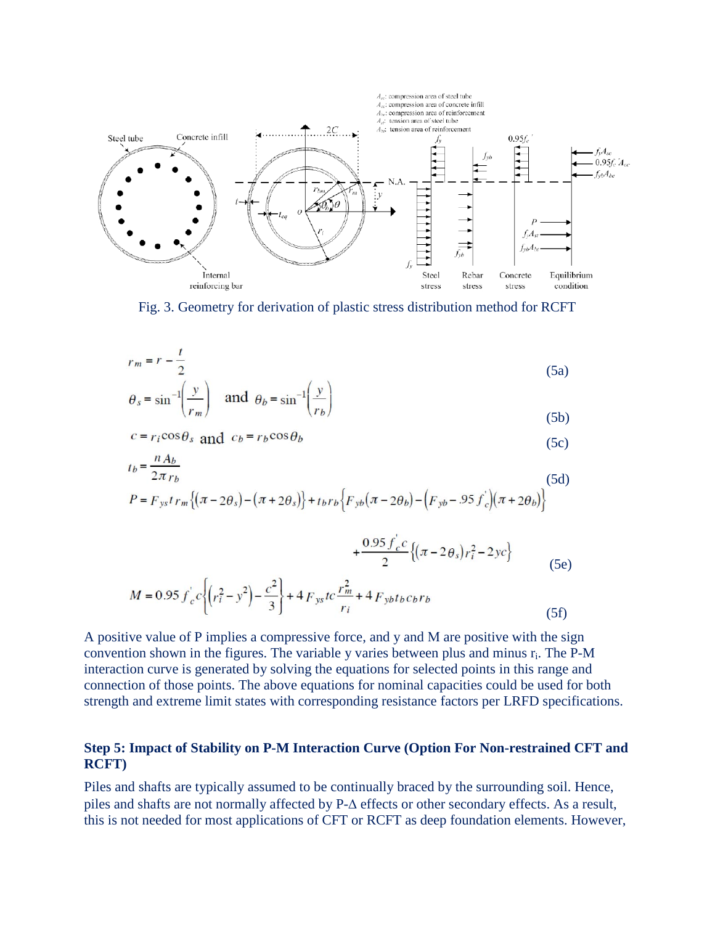



$$
r_m = r - \frac{t}{2}
$$
  
\n
$$
\theta_s = \sin^{-1}\left(\frac{y}{2}\right) \quad \text{and} \quad \theta_b = \sin^{-1}\left(\frac{y}{2}\right)
$$
 (5a)

$$
\langle r_m \rangle \qquad \langle r_b \rangle \tag{5b}
$$

$$
c = r_i \cos \theta_s \text{ and } c_b = r_b \cos \theta_b \tag{5c}
$$

$$
t_b = \frac{1}{2\pi r_b}
$$
\n
$$
P = F_{ys} t r_m \{ (\pi - 2\theta_s) - (\pi + 2\theta_s) \} + t_b r_b \{ F_{yb} (\pi - 2\theta_b) - (F_{yb} - .95 f_c) (\pi + 2\theta_b) \}
$$
\n(5d)

$$
+\frac{0.95 f_c' c}{2} \{ (\pi - 2\theta_s) r_i^2 - 2yc \}
$$
\n
$$
M = 0.95 f_c' c \left\{ \left( r_i^2 - y^2 \right) - \frac{c^2}{3} \right\} + 4 F_{ys} tc \frac{r_m^2}{r_i} + 4 F_{ybtbcbrb}
$$
\n(5f)

A positive value of P implies a compressive force, and y and Μ are positive with the sign convention shown in the figures. The variable y varies between plus and minus  $r_i$ . The P-M interaction curve is generated by solving the equations for selected points in this range and connection of those points. The above equations for nominal capacities could be used for both strength and extreme limit states with corresponding resistance factors per LRFD specifications.

## **Step 5: Impact of Stability on P-M Interaction Curve (Option For Non-restrained CFT and RCFT)**

Piles and shafts are typically assumed to be continually braced by the surrounding soil. Hence, piles and shafts are not normally affected by P-∆ effects or other secondary effects. As a result, this is not needed for most applications of CFT or RCFT as deep foundation elements. However,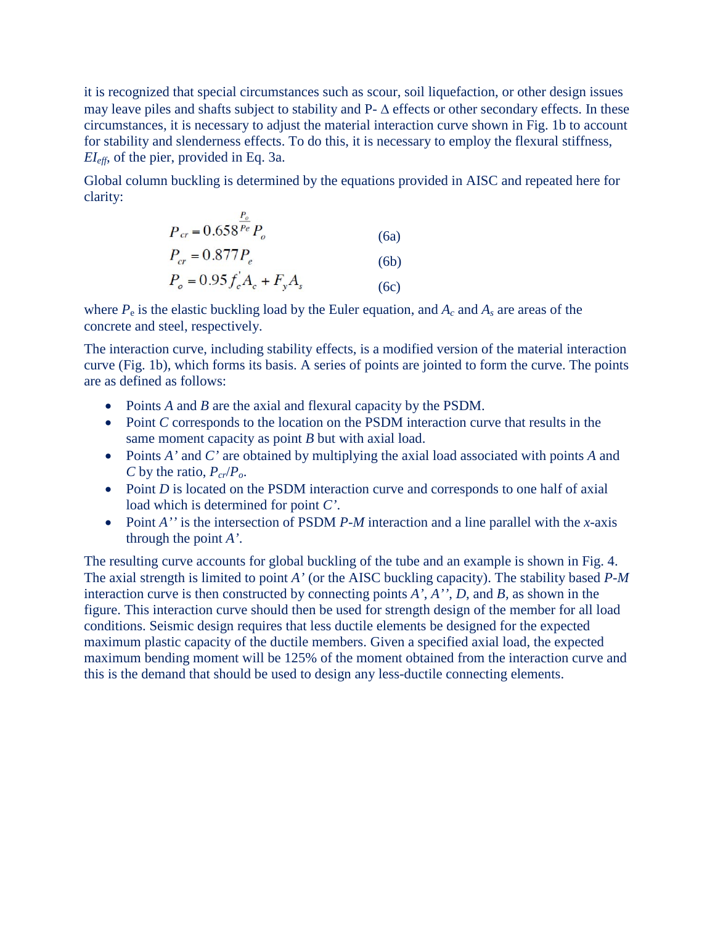it is recognized that special circumstances such as scour, soil liquefaction, or other design issues may leave piles and shafts subject to stability and P- ∆ effects or other secondary effects. In these circumstances, it is necessary to adjust the material interaction curve shown in Fig. 1b to account for stability and slenderness effects. To do this, it is necessary to employ the flexural stiffness, *EIeff*, of the pier, provided in Eq. 3a.

Global column buckling is determined by the equations provided in AISC and repeated here for clarity:

$$
P_{cr} = 0.658 \frac{P_o}{Pe} P_o
$$
 (6a)  
\n
$$
P_{cr} = 0.877 P_e
$$
 (6b)  
\n
$$
P_o = 0.95 f_c A_c + F_y A_s
$$
 (6c)

where  $P_e$  is the elastic buckling load by the Euler equation, and  $A_c$  and  $A_s$  are areas of the concrete and steel, respectively.

The interaction curve, including stability effects, is a modified version of the material interaction curve (Fig. 1b), which forms its basis. A series of points are jointed to form the curve. The points are as defined as follows:

- Points *A* and *B* are the axial and flexural capacity by the PSDM.
- Point *C* corresponds to the location on the PSDM interaction curve that results in the same moment capacity as point *B* but with axial load.
- Points *A'* and *C'* are obtained by multiplying the axial load associated with points *A* and *C* by the ratio,  $P_{cr}/P_o$ .
- Point *D* is located on the PSDM interaction curve and corresponds to one half of axial load which is determined for point *C'*.
- Point *A''* is the intersection of PSDM *P*-*M* interaction and a line parallel with the *x-*axis through the point *A'*.

The resulting curve accounts for global buckling of the tube and an example is shown in Fig. 4. The axial strength is limited to point *A'* (or the AISC buckling capacity). The stability based *P*-*M*  interaction curve is then constructed by connecting points *A'*, *A''*, *D*, and *B,* as shown in the figure. This interaction curve should then be used for strength design of the member for all load conditions. Seismic design requires that less ductile elements be designed for the expected maximum plastic capacity of the ductile members. Given a specified axial load, the expected maximum bending moment will be 125% of the moment obtained from the interaction curve and this is the demand that should be used to design any less-ductile connecting elements.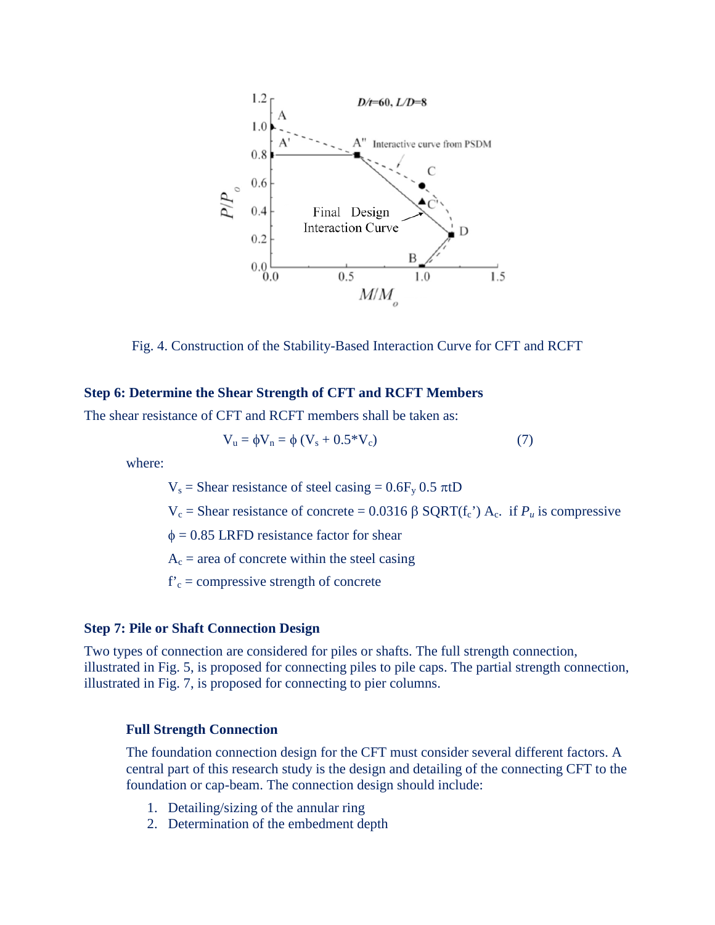

Fig. 4. Construction of the Stability-Based Interaction Curve for CFT and RCFT

### **Step 6: Determine the Shear Strength of CFT and RCFT Members**

The shear resistance of CFT and RCFT members shall be taken as:

$$
V_u = \phi V_n = \phi (V_s + 0.5*V_c)
$$
 (7)

where:

 $V_s$  = Shear resistance of steel casing = 0.6F<sub>y</sub> 0.5  $\pi$ tD

 $V_c$  = Shear resistance of concrete = 0.0316 β SQRT(f<sub>c</sub><sup>*'*</sup>) A<sub>c</sub>. if  $P_u$  is compressive

 $\phi$  = 0.85 LRFD resistance factor for shear

 $A_c$  = area of concrete within the steel casing

 $f_c$  = compressive strength of concrete

## **Step 7: Pile or Shaft Connection Design**

Two types of connection are considered for piles or shafts. The full strength connection, illustrated in Fig. 5, is proposed for connecting piles to pile caps. The partial strength connection, illustrated in Fig. 7, is proposed for connecting to pier columns.

## **Full Strength Connection**

The foundation connection design for the CFT must consider several different factors. A central part of this research study is the design and detailing of the connecting CFT to the foundation or cap-beam. The connection design should include:

- 1. Detailing/sizing of the annular ring
- 2. Determination of the embedment depth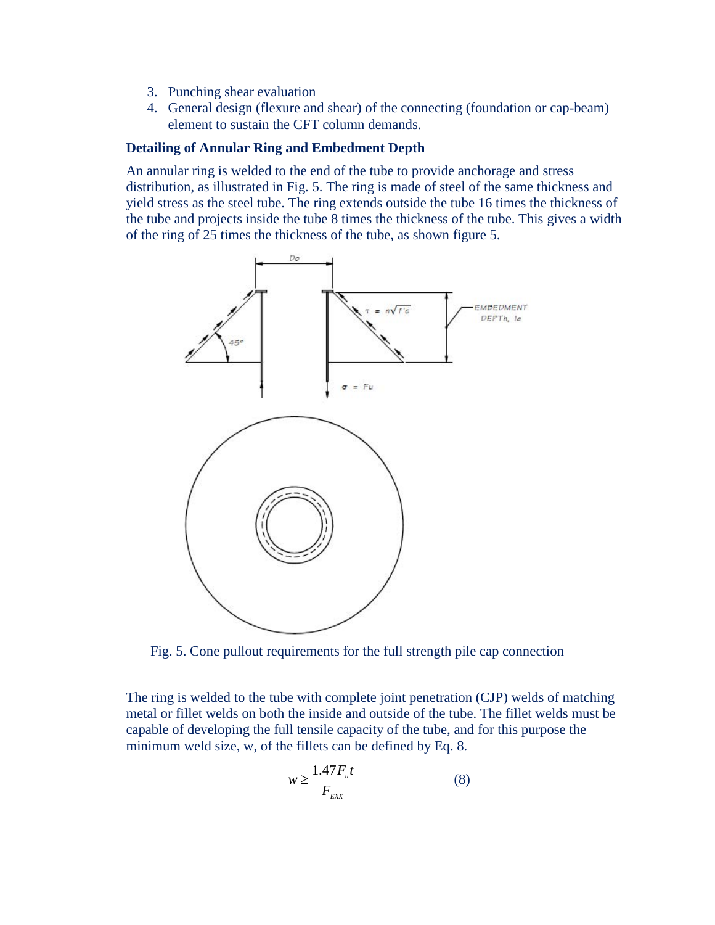- 3. Punching shear evaluation
- 4. General design (flexure and shear) of the connecting (foundation or cap-beam) element to sustain the CFT column demands.

### **Detailing of Annular Ring and Embedment Depth**

An annular ring is welded to the end of the tube to provide anchorage and stress distribution, as illustrated in Fig. 5. The ring is made of steel of the same thickness and yield stress as the steel tube. The ring extends outside the tube 16 times the thickness of the tube and projects inside the tube 8 times the thickness of the tube. This gives a width of the ring of 25 times the thickness of the tube, as shown figure 5.



Fig. 5. Cone pullout requirements for the full strength pile cap connection

The ring is welded to the tube with complete joint penetration (CJP) welds of matching metal or fillet welds on both the inside and outside of the tube. The fillet welds must be capable of developing the full tensile capacity of the tube, and for this purpose the minimum weld size, w, of the fillets can be defined by Eq. 8.

$$
w \ge \frac{1.47 F_u t}{F_{\text{EXX}}} \tag{8}
$$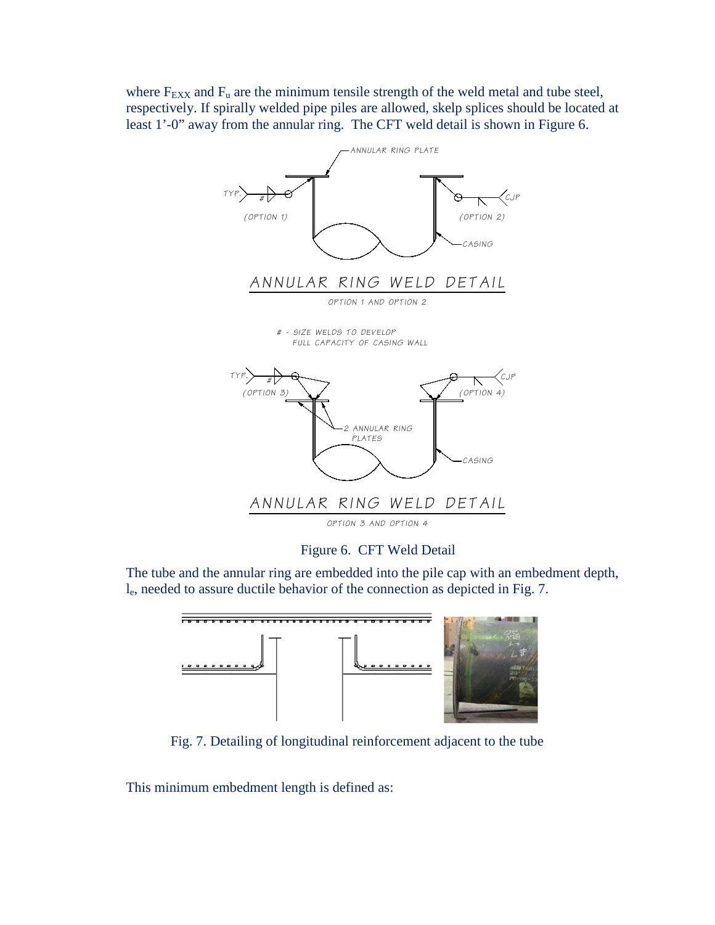where  $F_{EXX}$  and  $F_u$  are the minimum tensile strength of the weld metal and tube steel, respectively. If spirally welded pipe piles are allowed, skelp splices should be located at least 1'-0" away from the annular ring. The CFT weld detail is shown in Figure 6.



Figure 6. CFT Weld Detail

The tube and the annular ring are embedded into the pile cap with an embedment depth, le, needed to assure ductile behavior of the connection as depicted in Fig. 7.



Fig. 7. Detailing of longitudinal reinforcement adjacent to the tube

This minimum embedment length is defined as: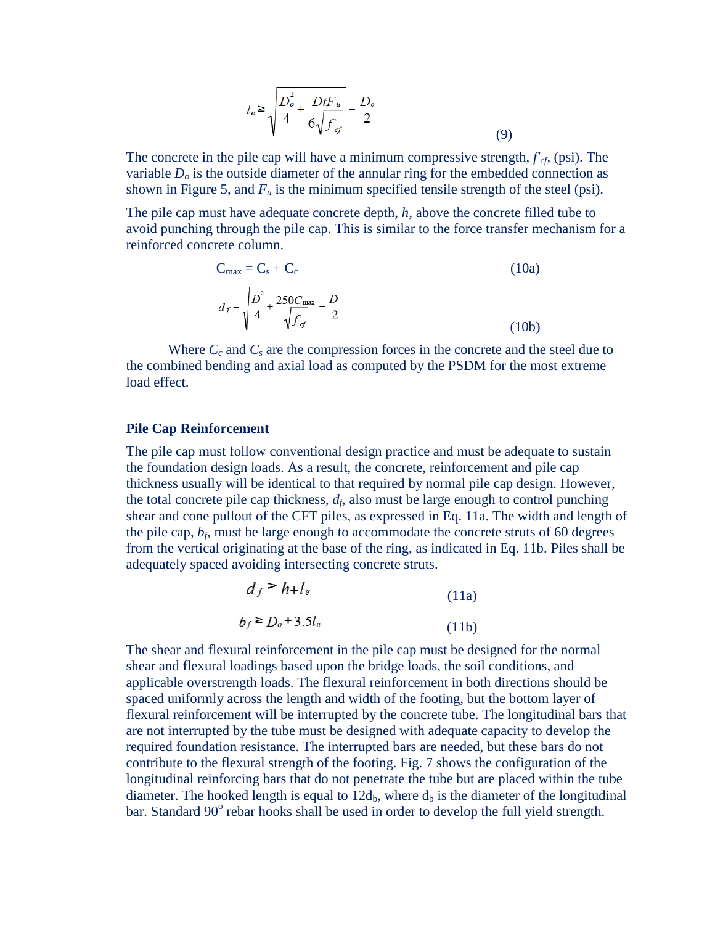$$
l_e \ge \sqrt{\frac{D_o^2}{4} + \frac{DtF_u}{6\sqrt{f_{cf}}} - \frac{D_o}{2}}
$$
\n(9)

The concrete in the pile cap will have a minimum compressive strength, *f'cf*, (psi). The variable  $D<sub>o</sub>$  is the outside diameter of the annular ring for the embedded connection as shown in Figure 5, and  $F_u$  is the minimum specified tensile strength of the steel (psi).

The pile cap must have adequate concrete depth, *h*, above the concrete filled tube to avoid punching through the pile cap. This is similar to the force transfer mechanism for a reinforced concrete column.

$$
C_{\text{max}} = C_{\text{s}} + C_{\text{c}}
$$
\n(10a)  
\n
$$
d_f = \sqrt{\frac{D^2}{4} + \frac{250C_{\text{max}}}{\sqrt{f_{\text{cf}}}} - \frac{D}{2}}
$$
\n(10b)

Where  $C_c$  and  $C_s$  are the compression forces in the concrete and the steel due to the combined bending and axial load as computed by the PSDM for the most extreme load effect.

#### **Pile Cap Reinforcement**

The pile cap must follow conventional design practice and must be adequate to sustain the foundation design loads. As a result, the concrete, reinforcement and pile cap thickness usually will be identical to that required by normal pile cap design. However, the total concrete pile cap thickness,  $d_f$ , also must be large enough to control punching shear and cone pullout of the CFT piles, as expressed in Eq. 11a. The width and length of the pile cap,  $b_f$ , must be large enough to accommodate the concrete struts of 60 degrees from the vertical originating at the base of the ring, as indicated in Eq. 11b. Piles shall be adequately spaced avoiding intersecting concrete struts.

$$
d_f \ge h + l_e
$$
 (11a)  

$$
b_f \ge D_o + 3.5l_e
$$
 (11b)

The shear and flexural reinforcement in the pile cap must be designed for the normal shear and flexural loadings based upon the bridge loads, the soil conditions, and applicable overstrength loads. The flexural reinforcement in both directions should be spaced uniformly across the length and width of the footing, but the bottom layer of flexural reinforcement will be interrupted by the concrete tube. The longitudinal bars that are not interrupted by the tube must be designed with adequate capacity to develop the required foundation resistance. The interrupted bars are needed, but these bars do not contribute to the flexural strength of the footing. Fig. 7 shows the configuration of the longitudinal reinforcing bars that do not penetrate the tube but are placed within the tube diameter. The hooked length is equal to  $12d_b$ , where  $d_b$  is the diameter of the longitudinal bar. Standard 90° rebar hooks shall be used in order to develop the full yield strength.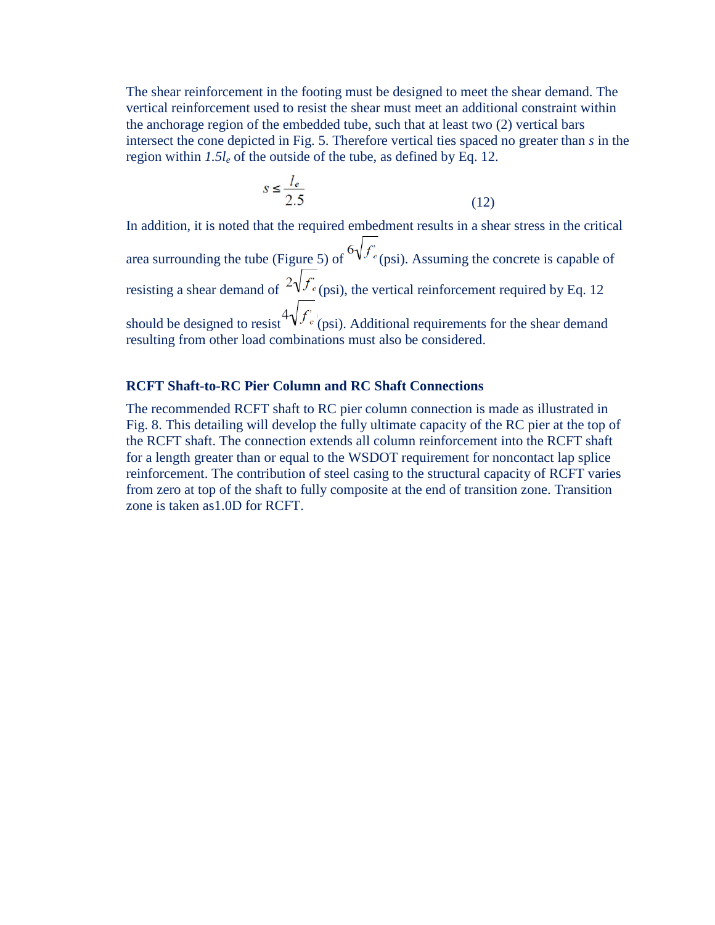The shear reinforcement in the footing must be designed to meet the shear demand. The vertical reinforcement used to resist the shear must meet an additional constraint within the anchorage region of the embedded tube, such that at least two (2) vertical bars intersect the cone depicted in Fig. 5. Therefore vertical ties spaced no greater than *s* in the region within *1.5le* of the outside of the tube, as defined by Eq. 12.

$$
s \le \frac{l_e}{2.5} \tag{12}
$$

In addition, it is noted that the required embedment results in a shear stress in the critical area surrounding the tube (Figure 5) of  ${}^6\sqrt{f^2}$  (psi). Assuming the concrete is capable of resisting a shear demand of  $2\sqrt{f'_e}$  (psi), the vertical reinforcement required by Eq. 12 should be designed to resist  $\sqrt[4]{f'_e}$  (psi). Additional requirements for the shear demand resulting from other load combinations must also be considered.

## **RCFT Shaft-to-RC Pier Column and RC Shaft Connections**

The recommended RCFT shaft to RC pier column connection is made as illustrated in Fig. 8. This detailing will develop the fully ultimate capacity of the RC pier at the top of the RCFT shaft. The connection extends all column reinforcement into the RCFT shaft for a length greater than or equal to the WSDOT requirement for noncontact lap splice reinforcement. The contribution of steel casing to the structural capacity of RCFT varies from zero at top of the shaft to fully composite at the end of transition zone. Transition zone is taken as1.0D for RCFT.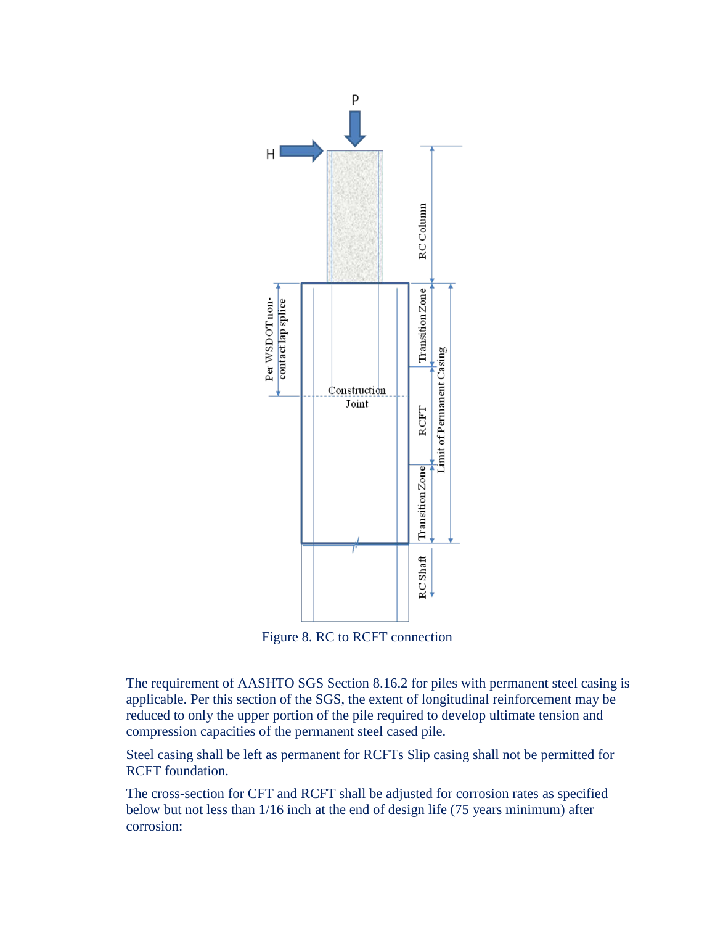

Figure 8. RC to RCFT connection

The requirement of AASHTO SGS Section 8.16.2 for piles with permanent steel casing is applicable. Per this section of the SGS, the extent of longitudinal reinforcement may be reduced to only the upper portion of the pile required to develop ultimate tension and compression capacities of the permanent steel cased pile.

Steel casing shall be left as permanent for RCFTs Slip casing shall not be permitted for RCFT foundation.

The cross-section for CFT and RCFT shall be adjusted for corrosion rates as specified below but not less than 1/16 inch at the end of design life (75 years minimum) after corrosion: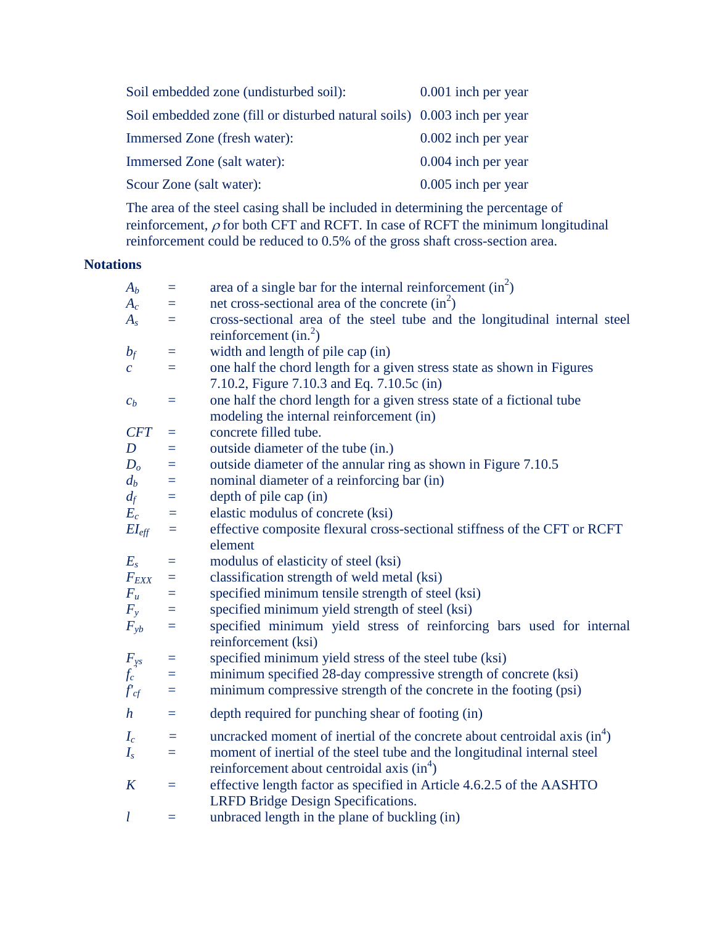| Soil embedded zone (undisturbed soil):                                   | 0.001 inch per year |
|--------------------------------------------------------------------------|---------------------|
| Soil embedded zone (fill or disturbed natural soils) 0.003 inch per year |                     |
| Immersed Zone (fresh water):                                             | 0.002 inch per year |
| Immersed Zone (salt water):                                              | 0.004 inch per year |
| Scour Zone (salt water):                                                 | 0.005 inch per year |

The area of the steel casing shall be included in determining the percentage of reinforcement,  $\rho$  for both CFT and RCFT. In case of RCFT the minimum longitudinal reinforcement could be reduced to 0.5% of the gross shaft cross-section area.

# **Notations**

| $A_b$                       | $=$      | area of a single bar for the internal reinforcement $(in^2)$               |
|-----------------------------|----------|----------------------------------------------------------------------------|
| $A_c$                       | $=$      | net cross-sectional area of the concrete $(in^2)$                          |
| $A_{s}$                     | $=$      | cross-sectional area of the steel tube and the longitudinal internal steel |
|                             |          | reinforcement $(in.^2)$                                                    |
| $b_f$                       | $\equiv$ | width and length of pile cap (in)                                          |
| $\mathcal{C}_{\mathcal{C}}$ | Ξ        | one half the chord length for a given stress state as shown in Figures     |
|                             |          | 7.10.2, Figure 7.10.3 and Eq. 7.10.5c (in)                                 |
| $c_b$                       | $\equiv$ | one half the chord length for a given stress state of a fictional tube     |
|                             |          | modeling the internal reinforcement (in)                                   |
| <b>CFT</b>                  | $\equiv$ | concrete filled tube.                                                      |
| $\boldsymbol{D}$            | $=$      | outside diameter of the tube (in.)                                         |
| D <sub>o</sub>              | $\equiv$ | outside diameter of the annular ring as shown in Figure 7.10.5             |
| $d_b$                       | $\equiv$ | nominal diameter of a reinforcing bar (in)                                 |
| $d_f$                       | $\equiv$ | depth of pile cap (in)                                                     |
| $E_c$                       | $\equiv$ | elastic modulus of concrete (ksi)                                          |
| $EI_{\mathit{eff}}$         | $\equiv$ | effective composite flexural cross-sectional stiffness of the CFT or RCFT  |
|                             |          | element                                                                    |
| $E_s$                       | $=$      | modulus of elasticity of steel (ksi)                                       |
| $F_{EXX}$                   | $\equiv$ | classification strength of weld metal (ksi)                                |
| $F_u$                       | $\equiv$ | specified minimum tensile strength of steel (ksi)                          |
| $F_y$                       | $\equiv$ | specified minimum yield strength of steel (ksi)                            |
| $F_{yb}$                    | $\equiv$ | specified minimum yield stress of reinforcing bars used for internal       |
|                             |          | reinforcement (ksi)                                                        |
| $\frac{F_{\rm{ys}}}{f_c}$   | $\equiv$ | specified minimum yield stress of the steel tube (ksi)                     |
|                             | $=$      | minimum specified 28-day compressive strength of concrete (ksi)            |
| $f'_{cf}$                   | $=$      | minimum compressive strength of the concrete in the footing (psi)          |
| $\boldsymbol{h}$            | $=$      | depth required for punching shear of footing (in)                          |
| $I_c$                       | $=$      | uncracked moment of inertial of the concrete about centroidal axis $(in4)$ |
| $I_s$                       | $=$      | moment of inertial of the steel tube and the longitudinal internal steel   |
|                             |          | reinforcement about centroidal axis $(in4)$                                |
| K                           | $\equiv$ | effective length factor as specified in Article 4.6.2.5 of the AASHTO      |
|                             |          | LRFD Bridge Design Specifications.                                         |
| l                           | $=$      | unbraced length in the plane of buckling (in)                              |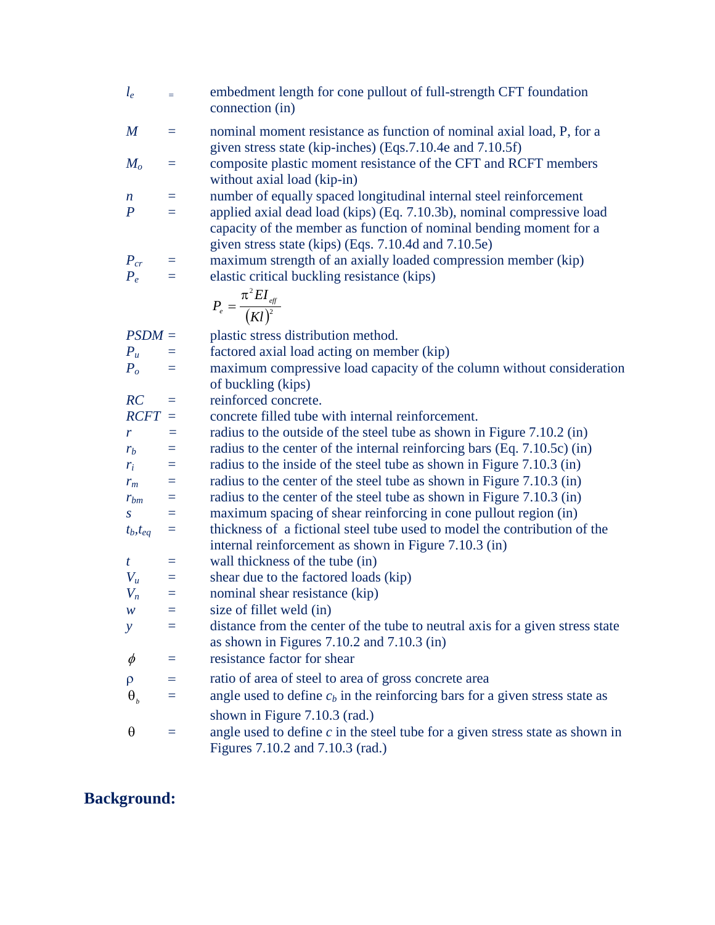| $l_e$                           | $=$      | embedment length for cone pullout of full-strength CFT foundation<br>connection (in)                                                                                                                 |
|---------------------------------|----------|------------------------------------------------------------------------------------------------------------------------------------------------------------------------------------------------------|
| $\boldsymbol{M}$                | $\equiv$ | nominal moment resistance as function of nominal axial load, P, for a<br>given stress state (kip-inches) (Eqs.7.10.4e and 7.10.5f)                                                                   |
| $M_{o}$                         | $\equiv$ | composite plastic moment resistance of the CFT and RCFT members<br>without axial load (kip-in)                                                                                                       |
| $\boldsymbol{n}$                | $\equiv$ | number of equally spaced longitudinal internal steel reinforcement                                                                                                                                   |
| $\boldsymbol{P}$                |          | applied axial dead load (kips) (Eq. 7.10.3b), nominal compressive load<br>capacity of the member as function of nominal bending moment for a<br>given stress state (kips) (Eqs. 7.10.4d and 7.10.5e) |
| $P_{cr}$<br>$\alpha = \alpha$   |          | maximum strength of an axially loaded compression member (kip)                                                                                                                                       |
| $P_e$                           | $\equiv$ | elastic critical buckling resistance (kips)                                                                                                                                                          |
|                                 |          | $P_e = \frac{\pi^2 EI_{\text{eff}}}{(Kl)^2}$                                                                                                                                                         |
| $PSDM =$                        |          | plastic stress distribution method.                                                                                                                                                                  |
| $P_u =$                         |          | factored axial load acting on member (kip)                                                                                                                                                           |
| $P_o =$                         |          | maximum compressive load capacity of the column without consideration<br>of buckling (kips)                                                                                                          |
| RC                              | $\equiv$ | reinforced concrete.                                                                                                                                                                                 |
| $RCFT =$                        |          | concrete filled tube with internal reinforcement.                                                                                                                                                    |
| r                               | $\equiv$ | radius to the outside of the steel tube as shown in Figure 7.10.2 (in)                                                                                                                               |
| $r_b$                           | $\equiv$ | radius to the center of the internal reinforcing bars (Eq. 7.10.5c) (in)                                                                                                                             |
| $r_i$                           | $\equiv$ | radius to the inside of the steel tube as shown in Figure 7.10.3 (in)                                                                                                                                |
| $r_m$                           | $\equiv$ | radius to the center of the steel tube as shown in Figure 7.10.3 (in)                                                                                                                                |
| $r_{bm}$                        | $\equiv$ | radius to the center of the steel tube as shown in Figure 7.10.3 (in)                                                                                                                                |
| $\boldsymbol{S}$                | $\equiv$ | maximum spacing of shear reinforcing in cone pullout region (in)                                                                                                                                     |
| $t_b, t_{eq}$                   | $\equiv$ | thickness of a fictional steel tube used to model the contribution of the<br>internal reinforcement as shown in Figure 7.10.3 (in)                                                                   |
| t                               | $\equiv$ | wall thickness of the tube (in)                                                                                                                                                                      |
| $V_u$                           | $\equiv$ | shear due to the factored loads (kip)                                                                                                                                                                |
| $V_n$                           | $=$      | nominal shear resistance (kip)                                                                                                                                                                       |
| W                               |          | size of fillet weld (in)                                                                                                                                                                             |
| $\mathcal{Y}$                   | Ξ        | distance from the center of the tube to neutral axis for a given stress state<br>as shown in Figures $7.10.2$ and $7.10.3$ (in)                                                                      |
| $\phi$                          | $=$      | resistance factor for shear                                                                                                                                                                          |
| $\rho$                          | =        | ratio of area of steel to area of gross concrete area                                                                                                                                                |
| $\theta_{\scriptscriptstyle b}$ | Ξ        | angle used to define $cb$ in the reinforcing bars for a given stress state as                                                                                                                        |
|                                 |          | shown in Figure 7.10.3 (rad.)                                                                                                                                                                        |
| $\theta$                        | $=$      | angle used to define $c$ in the steel tube for a given stress state as shown in<br>Figures 7.10.2 and 7.10.3 (rad.)                                                                                  |

# **Background:**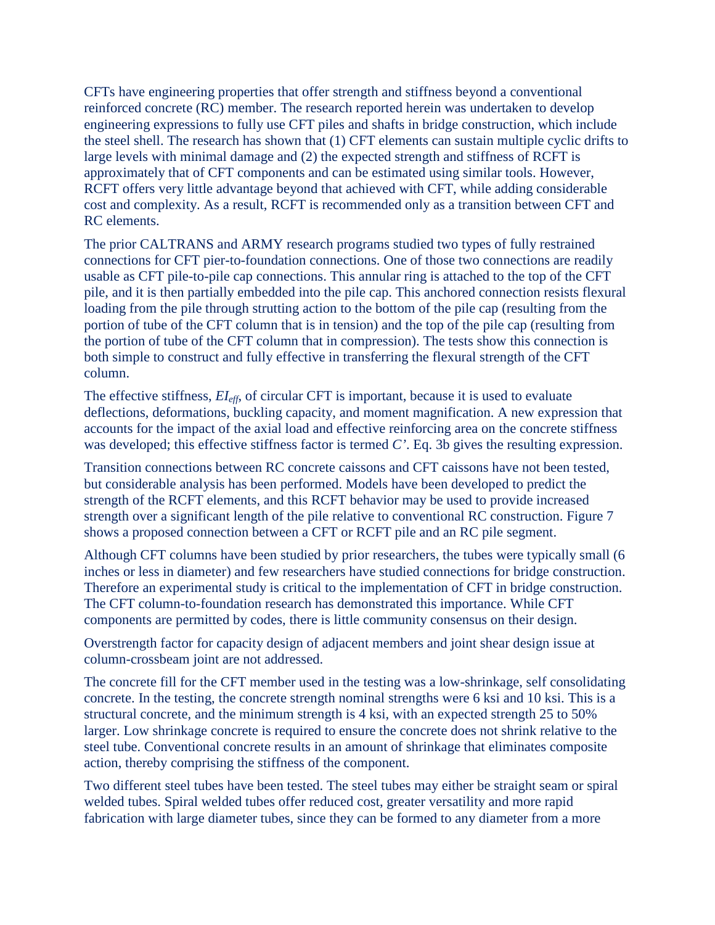CFTs have engineering properties that offer strength and stiffness beyond a conventional reinforced concrete (RC) member. The research reported herein was undertaken to develop engineering expressions to fully use CFT piles and shafts in bridge construction, which include the steel shell. The research has shown that (1) CFT elements can sustain multiple cyclic drifts to large levels with minimal damage and (2) the expected strength and stiffness of RCFT is approximately that of CFT components and can be estimated using similar tools. However, RCFT offers very little advantage beyond that achieved with CFT, while adding considerable cost and complexity. As a result, RCFT is recommended only as a transition between CFT and RC elements.

The prior CALTRANS and ARMY research programs studied two types of fully restrained connections for CFT pier-to-foundation connections. One of those two connections are readily usable as CFT pile-to-pile cap connections. This annular ring is attached to the top of the CFT pile, and it is then partially embedded into the pile cap. This anchored connection resists flexural loading from the pile through strutting action to the bottom of the pile cap (resulting from the portion of tube of the CFT column that is in tension) and the top of the pile cap (resulting from the portion of tube of the CFT column that in compression). The tests show this connection is both simple to construct and fully effective in transferring the flexural strength of the CFT column.

The effective stiffness, *EIeff*, of circular CFT is important, because it is used to evaluate deflections, deformations, buckling capacity, and moment magnification. A new expression that accounts for the impact of the axial load and effective reinforcing area on the concrete stiffness was developed; this effective stiffness factor is termed *C'*. Eq. 3b gives the resulting expression.

Transition connections between RC concrete caissons and CFT caissons have not been tested, but considerable analysis has been performed. Models have been developed to predict the strength of the RCFT elements, and this RCFT behavior may be used to provide increased strength over a significant length of the pile relative to conventional RC construction. Figure 7 shows a proposed connection between a CFT or RCFT pile and an RC pile segment.

Although CFT columns have been studied by prior researchers, the tubes were typically small (6 inches or less in diameter) and few researchers have studied connections for bridge construction. Therefore an experimental study is critical to the implementation of CFT in bridge construction. The CFT column-to-foundation research has demonstrated this importance. While CFT components are permitted by codes, there is little community consensus on their design.

Overstrength factor for capacity design of adjacent members and joint shear design issue at column-crossbeam joint are not addressed.

The concrete fill for the CFT member used in the testing was a low-shrinkage, self consolidating concrete. In the testing, the concrete strength nominal strengths were 6 ksi and 10 ksi. This is a structural concrete, and the minimum strength is 4 ksi, with an expected strength 25 to 50% larger. Low shrinkage concrete is required to ensure the concrete does not shrink relative to the steel tube. Conventional concrete results in an amount of shrinkage that eliminates composite action, thereby comprising the stiffness of the component.

Two different steel tubes have been tested. The steel tubes may either be straight seam or spiral welded tubes. Spiral welded tubes offer reduced cost, greater versatility and more rapid fabrication with large diameter tubes, since they can be formed to any diameter from a more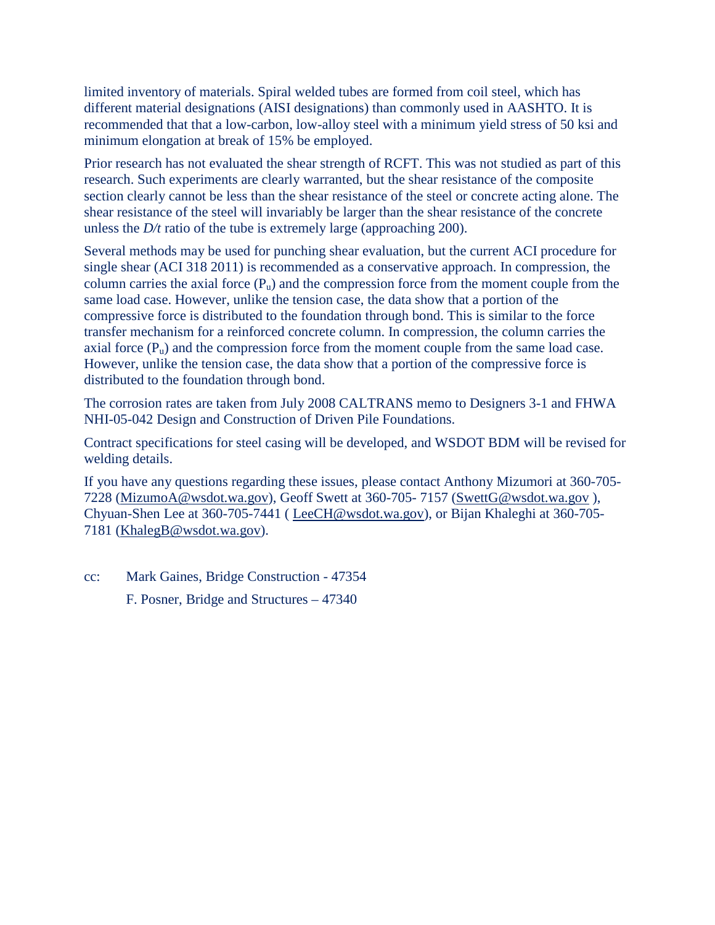limited inventory of materials. Spiral welded tubes are formed from coil steel, which has different material designations (AISI designations) than commonly used in AASHTO. It is recommended that that a low-carbon, low-alloy steel with a minimum yield stress of 50 ksi and minimum elongation at break of 15% be employed.

Prior research has not evaluated the shear strength of RCFT. This was not studied as part of this research. Such experiments are clearly warranted, but the shear resistance of the composite section clearly cannot be less than the shear resistance of the steel or concrete acting alone. The shear resistance of the steel will invariably be larger than the shear resistance of the concrete unless the *D/t* ratio of the tube is extremely large (approaching 200).

Several methods may be used for punching shear evaluation, but the current ACI procedure for single shear (ACI 318 2011) is recommended as a conservative approach. In compression, the column carries the axial force  $(P_u)$  and the compression force from the moment couple from the same load case. However, unlike the tension case, the data show that a portion of the compressive force is distributed to the foundation through bond. This is similar to the force transfer mechanism for a reinforced concrete column. In compression, the column carries the axial force  $(P_u)$  and the compression force from the moment couple from the same load case. However, unlike the tension case, the data show that a portion of the compressive force is distributed to the foundation through bond.

The corrosion rates are taken from July 2008 CALTRANS memo to Designers 3-1 and FHWA NHI-05-042 Design and Construction of Driven Pile Foundations.

Contract specifications for steel casing will be developed, and WSDOT BDM will be revised for welding details.

If you have any questions regarding these issues, please contact Anthony Mizumori at 360-705- 7228 [\(MizumoA@wsdot.wa.gov\)](mailto:MizumoA@wsdot.wa.gov), Geoff Swett at 360-705- 7157 [\(SwettG@wsdot.wa.gov](mailto:SwettG@wsdot.wa.gov) ), Chyuan-Shen Lee at 360-705-7441 ( [LeeCH@wsdot.wa.gov\)](mailto:LeeCH@wsdot.wa.gov), or Bijan Khaleghi at 360-705- 7181 [\(KhalegB@wsdot.wa.gov\)](mailto:KhalegB@wsdot.wa.gov).

cc: Mark Gaines, Bridge Construction - 47354 F. Posner, Bridge and Structures – 47340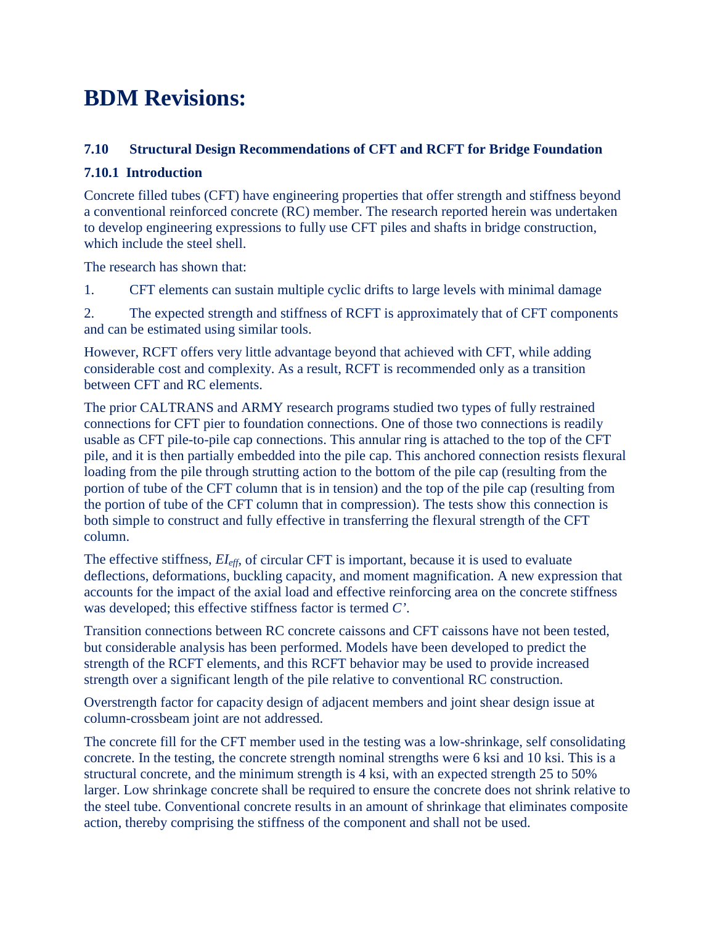# **BDM Revisions:**

# **7.10 Structural Design Recommendations of CFT and RCFT for Bridge Foundation**

# **7.10.1 Introduction**

Concrete filled tubes (CFT) have engineering properties that offer strength and stiffness beyond a conventional reinforced concrete (RC) member. The research reported herein was undertaken to develop engineering expressions to fully use CFT piles and shafts in bridge construction, which include the steel shell.

The research has shown that:

1. CFT elements can sustain multiple cyclic drifts to large levels with minimal damage

2. The expected strength and stiffness of RCFT is approximately that of CFT components and can be estimated using similar tools.

However, RCFT offers very little advantage beyond that achieved with CFT, while adding considerable cost and complexity. As a result, RCFT is recommended only as a transition between CFT and RC elements.

The prior CALTRANS and ARMY research programs studied two types of fully restrained connections for CFT pier to foundation connections. One of those two connections is readily usable as CFT pile-to-pile cap connections. This annular ring is attached to the top of the CFT pile, and it is then partially embedded into the pile cap. This anchored connection resists flexural loading from the pile through strutting action to the bottom of the pile cap (resulting from the portion of tube of the CFT column that is in tension) and the top of the pile cap (resulting from the portion of tube of the CFT column that in compression). The tests show this connection is both simple to construct and fully effective in transferring the flexural strength of the CFT column.

The effective stiffness,  $EI_{\text{eff}}$ , of circular CFT is important, because it is used to evaluate deflections, deformations, buckling capacity, and moment magnification. A new expression that accounts for the impact of the axial load and effective reinforcing area on the concrete stiffness was developed; this effective stiffness factor is termed *C'*.

Transition connections between RC concrete caissons and CFT caissons have not been tested, but considerable analysis has been performed. Models have been developed to predict the strength of the RCFT elements, and this RCFT behavior may be used to provide increased strength over a significant length of the pile relative to conventional RC construction.

Overstrength factor for capacity design of adjacent members and joint shear design issue at column-crossbeam joint are not addressed.

The concrete fill for the CFT member used in the testing was a low-shrinkage, self consolidating concrete. In the testing, the concrete strength nominal strengths were 6 ksi and 10 ksi. This is a structural concrete, and the minimum strength is 4 ksi, with an expected strength 25 to 50% larger. Low shrinkage concrete shall be required to ensure the concrete does not shrink relative to the steel tube. Conventional concrete results in an amount of shrinkage that eliminates composite action, thereby comprising the stiffness of the component and shall not be used.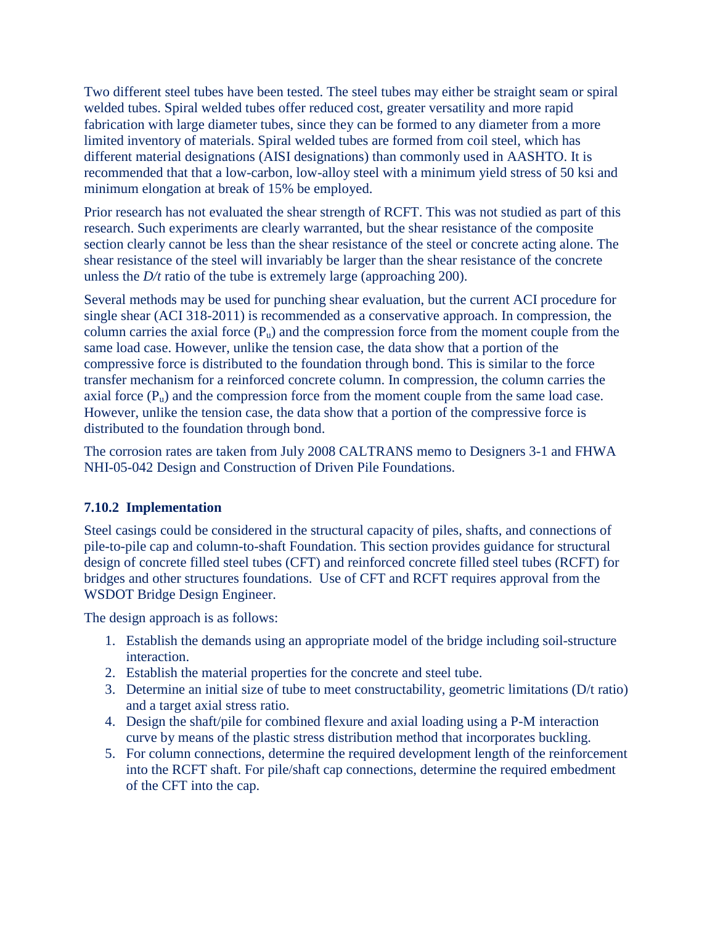Two different steel tubes have been tested. The steel tubes may either be straight seam or spiral welded tubes. Spiral welded tubes offer reduced cost, greater versatility and more rapid fabrication with large diameter tubes, since they can be formed to any diameter from a more limited inventory of materials. Spiral welded tubes are formed from coil steel, which has different material designations (AISI designations) than commonly used in AASHTO. It is recommended that that a low-carbon, low-alloy steel with a minimum yield stress of 50 ksi and minimum elongation at break of 15% be employed.

Prior research has not evaluated the shear strength of RCFT. This was not studied as part of this research. Such experiments are clearly warranted, but the shear resistance of the composite section clearly cannot be less than the shear resistance of the steel or concrete acting alone. The shear resistance of the steel will invariably be larger than the shear resistance of the concrete unless the *D/t* ratio of the tube is extremely large (approaching 200).

Several methods may be used for punching shear evaluation, but the current ACI procedure for single shear (ACI 318-2011) is recommended as a conservative approach. In compression, the column carries the axial force  $(P_u)$  and the compression force from the moment couple from the same load case. However, unlike the tension case, the data show that a portion of the compressive force is distributed to the foundation through bond. This is similar to the force transfer mechanism for a reinforced concrete column. In compression, the column carries the axial force  $(P_u)$  and the compression force from the moment couple from the same load case. However, unlike the tension case, the data show that a portion of the compressive force is distributed to the foundation through bond.

The corrosion rates are taken from July 2008 CALTRANS memo to Designers 3-1 and FHWA NHI-05-042 Design and Construction of Driven Pile Foundations.

# **7.10.2 Implementation**

Steel casings could be considered in the structural capacity of piles, shafts, and connections of pile-to-pile cap and column-to-shaft Foundation. This section provides guidance for structural design of concrete filled steel tubes (CFT) and reinforced concrete filled steel tubes (RCFT) for bridges and other structures foundations. Use of CFT and RCFT requires approval from the WSDOT Bridge Design Engineer.

The design approach is as follows:

- 1. Establish the demands using an appropriate model of the bridge including soil-structure interaction.
- 2. Establish the material properties for the concrete and steel tube.
- 3. Determine an initial size of tube to meet constructability, geometric limitations (D/t ratio) and a target axial stress ratio.
- 4. Design the shaft/pile for combined flexure and axial loading using a P-M interaction curve by means of the plastic stress distribution method that incorporates buckling.
- 5. For column connections, determine the required development length of the reinforcement into the RCFT shaft. For pile/shaft cap connections, determine the required embedment of the CFT into the cap.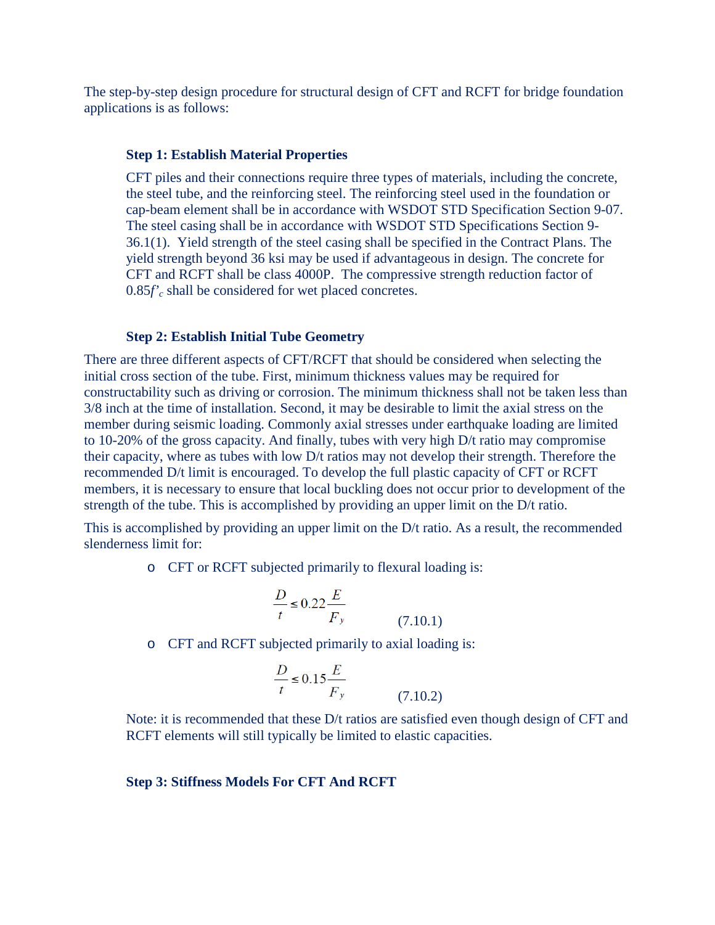The step-by-step design procedure for structural design of CFT and RCFT for bridge foundation applications is as follows:

## **Step 1: Establish Material Properties**

CFT piles and their connections require three types of materials, including the concrete, the steel tube, and the reinforcing steel. The reinforcing steel used in the foundation or cap-beam element shall be in accordance with WSDOT STD Specification Section 9-07. The steel casing shall be in accordance with WSDOT STD Specifications Section 9- 36.1(1). Yield strength of the steel casing shall be specified in the Contract Plans. The yield strength beyond 36 ksi may be used if advantageous in design. The concrete for CFT and RCFT shall be class 4000P. The compressive strength reduction factor of 0.85*f'<sub>c</sub>* shall be considered for wet placed concretes.

## **Step 2: Establish Initial Tube Geometry**

There are three different aspects of CFT/RCFT that should be considered when selecting the initial cross section of the tube. First, minimum thickness values may be required for constructability such as driving or corrosion. The minimum thickness shall not be taken less than 3/8 inch at the time of installation. Second, it may be desirable to limit the axial stress on the member during seismic loading. Commonly axial stresses under earthquake loading are limited to 10-20% of the gross capacity. And finally, tubes with very high D/t ratio may compromise their capacity, where as tubes with low D/t ratios may not develop their strength. Therefore the recommended D/t limit is encouraged. To develop the full plastic capacity of CFT or RCFT members, it is necessary to ensure that local buckling does not occur prior to development of the strength of the tube. This is accomplished by providing an upper limit on the D/t ratio.

This is accomplished by providing an upper limit on the D/t ratio. As a result, the recommended slenderness limit for:

o CFT or RCFT subjected primarily to flexural loading is:

$$
\frac{D}{t} \le 0.22 \frac{E}{F_y} \tag{7.10.1}
$$

o CFT and RCFT subjected primarily to axial loading is:

$$
\frac{D}{t} \le 0.15 \frac{E}{F_y} \tag{7.10.2}
$$

Note: it is recommended that these D/t ratios are satisfied even though design of CFT and RCFT elements will still typically be limited to elastic capacities.

## **Step 3: Stiffness Models For CFT And RCFT**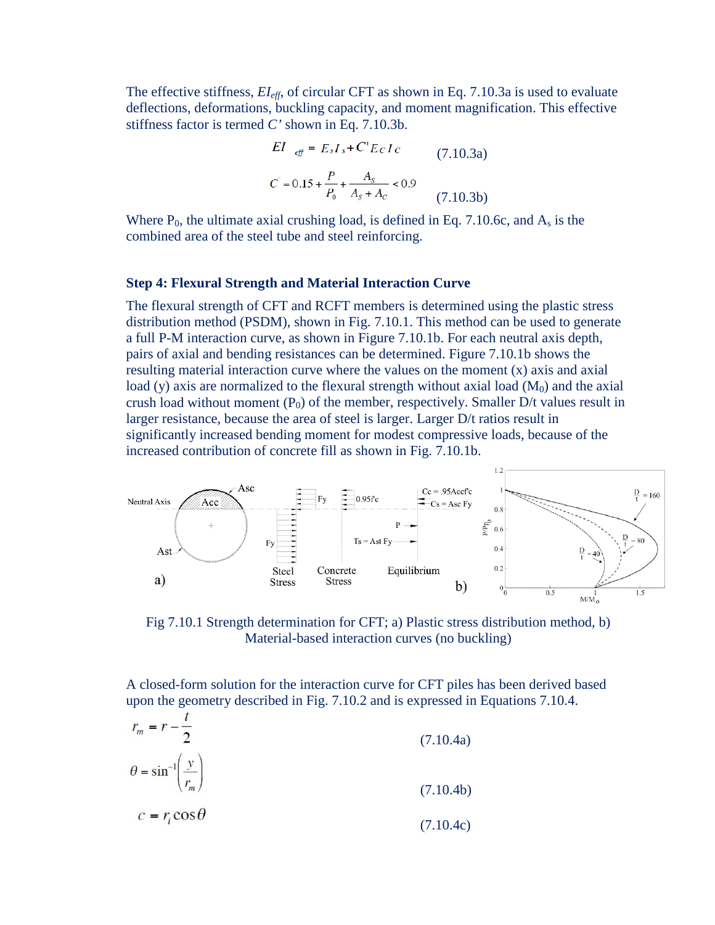The effective stiffness, *EIeff*, of circular CFT as shown in Eq. 7.10.3a is used to evaluate deflections, deformations, buckling capacity, and moment magnification. This effective stiffness factor is termed *C'* shown in Eq. 7.10.3b.

$$
EI_{\text{eff}} = E_s I_s + C' E_c I_c
$$
 (7.10.3a)  

$$
C = 0.15 + \frac{P}{P_0} + \frac{A_s}{A_s + A_c} < 0.9
$$
 (7.10.3b)

Where  $P_0$ , the ultimate axial crushing load, is defined in Eq. 7.10.6c, and  $A_s$  is the combined area of the steel tube and steel reinforcing.

#### **Step 4: Flexural Strength and Material Interaction Curve**

The flexural strength of CFT and RCFT members is determined using the plastic stress distribution method (PSDM), shown in Fig. 7.10.1. This method can be used to generate a full P-M interaction curve, as shown in Figure 7.10.1b. For each neutral axis depth, pairs of axial and bending resistances can be determined. Figure 7.10.1b shows the resulting material interaction curve where the values on the moment (x) axis and axial load (y) axis are normalized to the flexural strength without axial load  $(M<sub>0</sub>)$  and the axial crush load without moment  $(P_0)$  of the member, respectively. Smaller  $D/t$  values result in larger resistance, because the area of steel is larger. Larger D/t ratios result in significantly increased bending moment for modest compressive loads, because of the increased contribution of concrete fill as shown in Fig. 7.10.1b.



Fig 7.10.1 Strength determination for CFT; a) Plastic stress distribution method, b) Material-based interaction curves (no buckling)

A closed-form solution for the interaction curve for CFT piles has been derived based upon the geometry described in Fig. 7.10.2 and is expressed in Equations 7.10.4.

| $r_m = r - \frac{1}{2}$                      | (7.10.4a) |
|----------------------------------------------|-----------|
| $heta = \sin^{-1}\left(\frac{y}{r_m}\right)$ | (7.10.4b) |
| $c = r_i \cos \theta$                        | (7.10.4c) |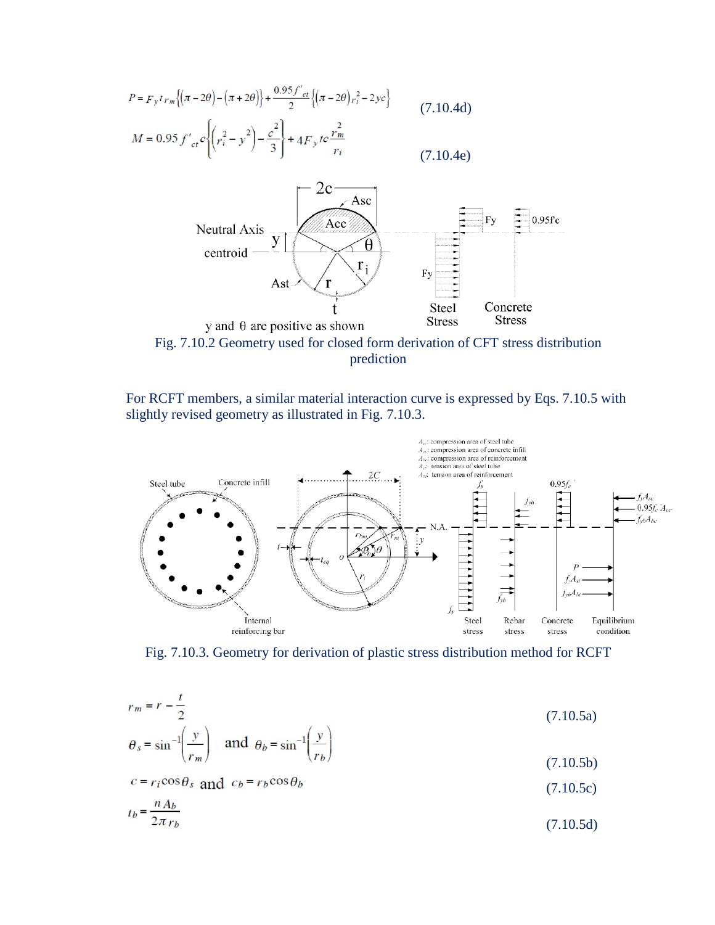

prediction







$$
r_m = r - \frac{t}{2}
$$
  
\n
$$
\theta_s = \sin^{-1} \left( \frac{y}{r_m} \right) \quad \text{and} \quad \theta_b = \sin^{-1} \left( \frac{y}{r_b} \right)
$$
\n(7.10.5a)

$$
c = r_i \cos \theta_s \text{ and } c_b = r_b \cos \theta_b \tag{7.10.5c}
$$

$$
t_b = \frac{nA_b}{2\pi r_b} \tag{7.10.5d}
$$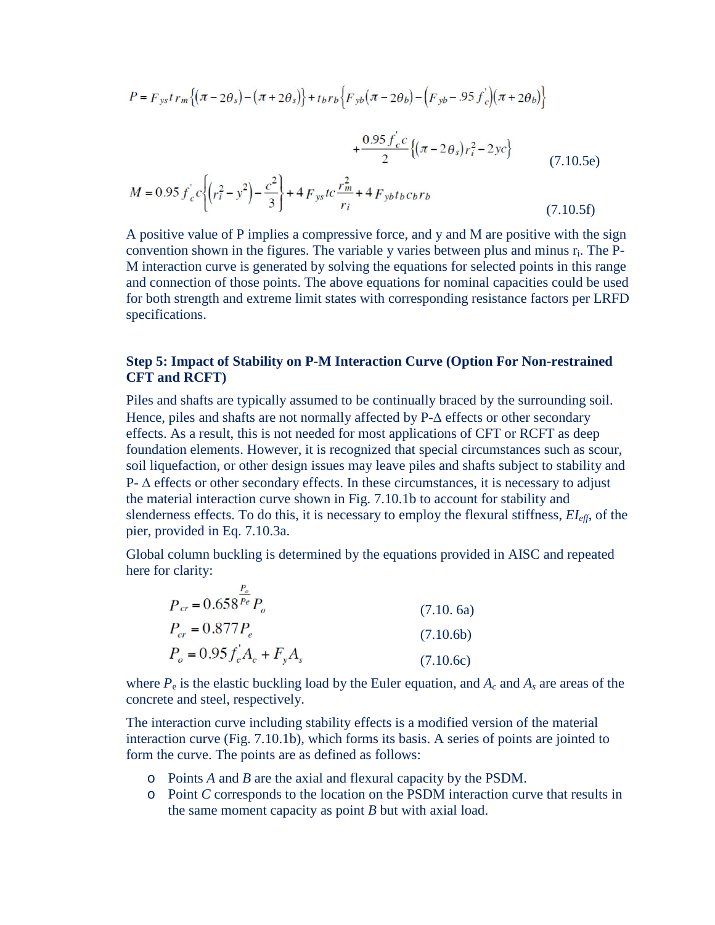$$
P = F_{ys} t r_m \{ (\pi - 2\theta_s) - (\pi + 2\theta_s) \} + t_b r_b \{ F_{yb} (\pi - 2\theta_b) - (F_{yb} - .95 f_c)(\pi + 2\theta_b) \}
$$
  
+ 
$$
\frac{0.95 f_c c}{2} \{ (\pi - 2\theta_s) r_i^2 - 2yc \}
$$
(7.10.5e)  

$$
M = 0.95 f_c c \{ (r_i^2 - y^2) - \frac{c^2}{3} \} + 4 F_{ys} t c \frac{r_m^2}{r_i} + 4 F_{yb} t_b c_b r_b
$$
(7.10.5f)

A positive value of P implies a compressive force, and y and Μ are positive with the sign convention shown in the figures. The variable y varies between plus and minus  $r_i$ . The P-M interaction curve is generated by solving the equations for selected points in this range and connection of those points. The above equations for nominal capacities could be used for both strength and extreme limit states with corresponding resistance factors per LRFD specifications.

## **Step 5: Impact of Stability on P-M Interaction Curve (Option For Non-restrained CFT and RCFT)**

Piles and shafts are typically assumed to be continually braced by the surrounding soil. Hence, piles and shafts are not normally affected by P-∆ effects or other secondary effects. As a result, this is not needed for most applications of CFT or RCFT as deep foundation elements. However, it is recognized that special circumstances such as scour, soil liquefaction, or other design issues may leave piles and shafts subject to stability and P-  $\Delta$  effects or other secondary effects. In these circumstances, it is necessary to adjust the material interaction curve shown in Fig. 7.10.1b to account for stability and slenderness effects. To do this, it is necessary to employ the flexural stiffness, *EIeff*, of the pier, provided in Eq. 7.10.3a.

Global column buckling is determined by the equations provided in AISC and repeated here for clarity:

| $P_{cr} = 0.658^{Pe} P_{o}$    | (7.10.6a) |
|--------------------------------|-----------|
| $P_{cr} = 0.877 P_e$           | (7.10.6b) |
| $P_o = 0.95 f_c A_c + F_v A_s$ | (7.10.6c) |

where  $P_e$  is the elastic buckling load by the Euler equation, and  $A_c$  and  $A_s$  are areas of the concrete and steel, respectively.

The interaction curve including stability effects is a modified version of the material interaction curve (Fig. 7.10.1b), which forms its basis. A series of points are jointed to form the curve. The points are as defined as follows:

- o Points *A* and *B* are the axial and flexural capacity by the PSDM.
- o Point *C* corresponds to the location on the PSDM interaction curve that results in the same moment capacity as point *B* but with axial load.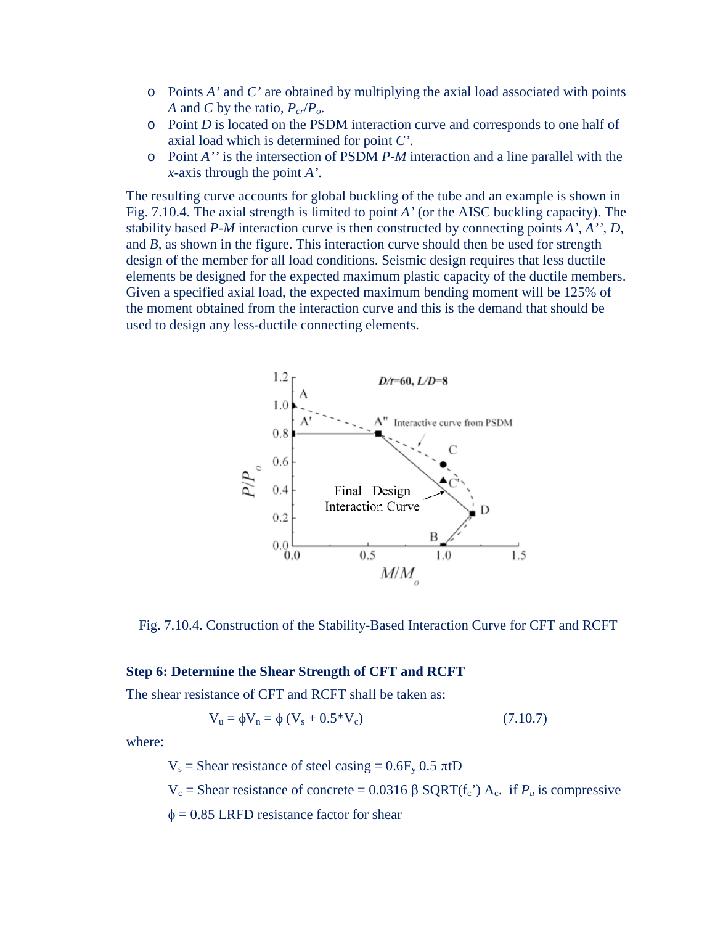- o Points *A'* and *C'* are obtained by multiplying the axial load associated with points *A* and *C* by the ratio,  $P_{cr}/P_o$ .
- o Point *D* is located on the PSDM interaction curve and corresponds to one half of axial load which is determined for point *C'*.
- o Point *A''* is the intersection of PSDM *P*-*M* interaction and a line parallel with the *x-*axis through the point *A'*.

The resulting curve accounts for global buckling of the tube and an example is shown in Fig. 7.10.4. The axial strength is limited to point *A'* (or the AISC buckling capacity). The stability based *P*-*M* interaction curve is then constructed by connecting points *A'*, *A''*, *D*, and *B,* as shown in the figure. This interaction curve should then be used for strength design of the member for all load conditions. Seismic design requires that less ductile elements be designed for the expected maximum plastic capacity of the ductile members. Given a specified axial load, the expected maximum bending moment will be 125% of the moment obtained from the interaction curve and this is the demand that should be used to design any less-ductile connecting elements.



Fig. 7.10.4. Construction of the Stability-Based Interaction Curve for CFT and RCFT

#### **Step 6: Determine the Shear Strength of CFT and RCFT**

The shear resistance of CFT and RCFT shall be taken as:

$$
V_u = \phi V_n = \phi (V_s + 0.5*V_c)
$$
 (7.10.7)

where:

 $V_s$  = Shear resistance of steel casing = 0.6F<sub>y</sub> 0.5  $\pi$ tD

 $V_c$  = Shear resistance of concrete = 0.0316 β SQRT(f<sub>c</sub><sup>'</sup>) A<sub>c</sub>. if  $P_u$  is compressive

 $\phi$  = 0.85 LRFD resistance factor for shear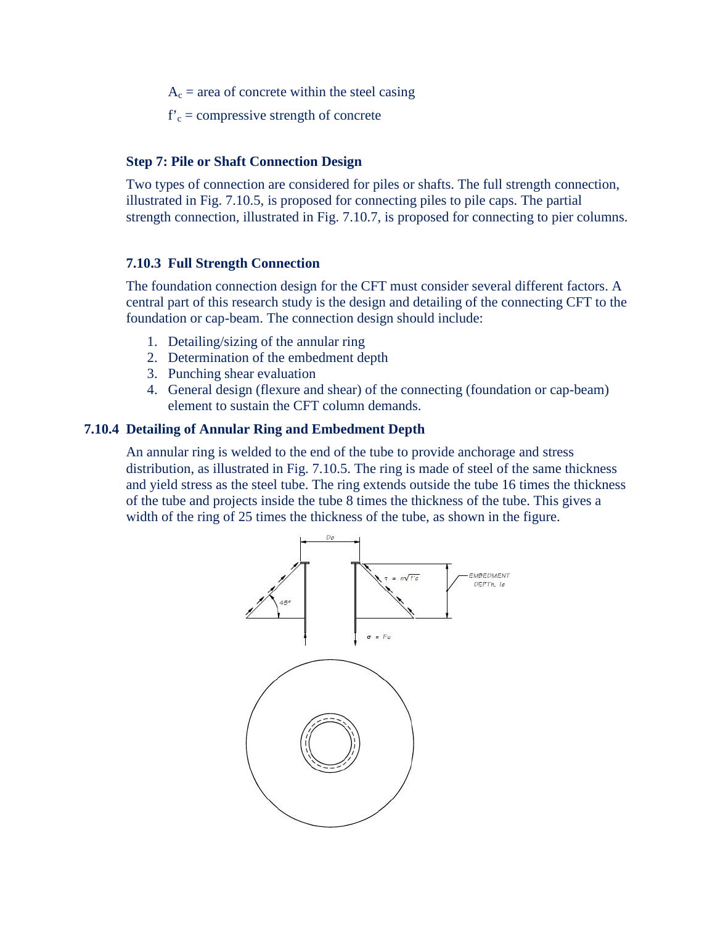$A_c$  = area of concrete within the steel casing

 $f_c$  = compressive strength of concrete

## **Step 7: Pile or Shaft Connection Design**

Two types of connection are considered for piles or shafts. The full strength connection, illustrated in Fig. 7.10.5, is proposed for connecting piles to pile caps. The partial strength connection, illustrated in Fig. 7.10.7, is proposed for connecting to pier columns.

## **7.10.3 Full Strength Connection**

The foundation connection design for the CFT must consider several different factors. A central part of this research study is the design and detailing of the connecting CFT to the foundation or cap-beam. The connection design should include:

- 1. Detailing/sizing of the annular ring
- 2. Determination of the embedment depth
- 3. Punching shear evaluation
- 4. General design (flexure and shear) of the connecting (foundation or cap-beam) element to sustain the CFT column demands.

## **7.10.4 Detailing of Annular Ring and Embedment Depth**

An annular ring is welded to the end of the tube to provide anchorage and stress distribution, as illustrated in Fig. 7.10.5. The ring is made of steel of the same thickness and yield stress as the steel tube. The ring extends outside the tube 16 times the thickness of the tube and projects inside the tube 8 times the thickness of the tube. This gives a width of the ring of 25 times the thickness of the tube, as shown in the figure.

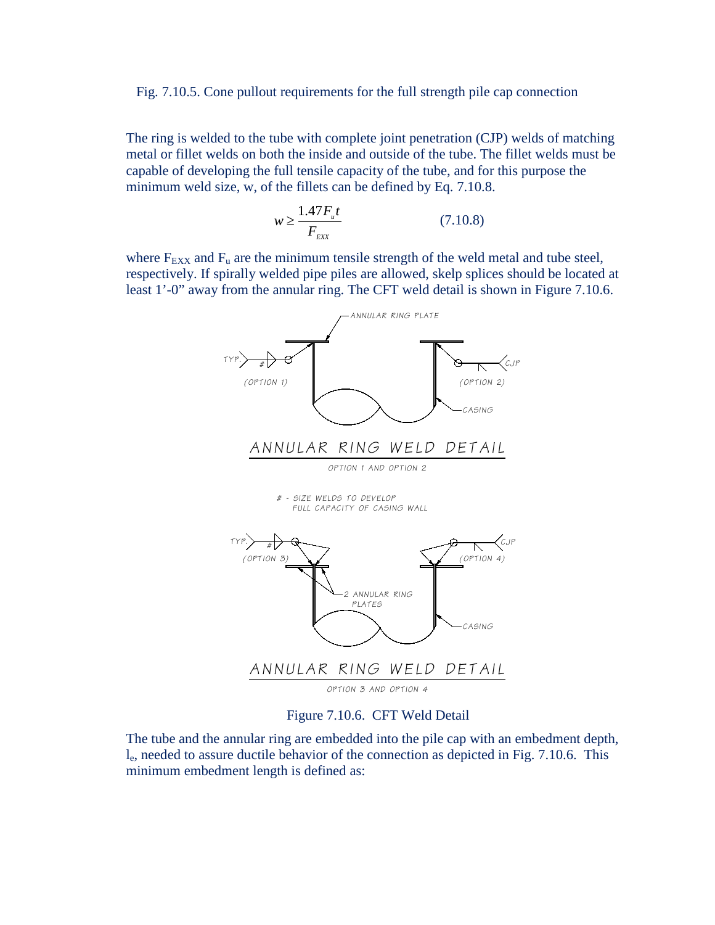Fig. 7.10.5. Cone pullout requirements for the full strength pile cap connection

The ring is welded to the tube with complete joint penetration (CJP) welds of matching metal or fillet welds on both the inside and outside of the tube. The fillet welds must be capable of developing the full tensile capacity of the tube, and for this purpose the minimum weld size, w, of the fillets can be defined by Eq. 7.10.8.

$$
w \ge \frac{1.47 F_{u} t}{F_{\text{EXX}}} \tag{7.10.8}
$$

where  $F_{EXX}$  and  $F_u$  are the minimum tensile strength of the weld metal and tube steel, respectively. If spirally welded pipe piles are allowed, skelp splices should be located at least 1'-0" away from the annular ring. The CFT weld detail is shown in Figure 7.10.6.





The tube and the annular ring are embedded into the pile cap with an embedment depth, le, needed to assure ductile behavior of the connection as depicted in Fig. 7.10.6. This minimum embedment length is defined as: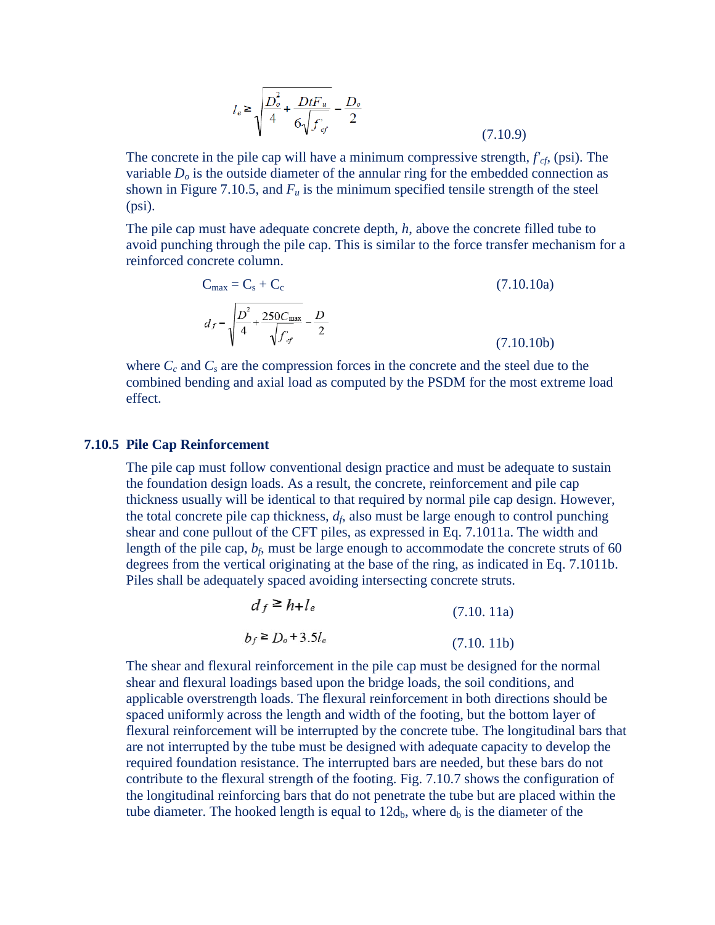$$
l_e \ge \sqrt{\frac{D_o^2}{4} + \frac{DtF_u}{6\sqrt{f_{cf}}} - \frac{D_o}{2}}
$$
\n(7.10.9)

The concrete in the pile cap will have a minimum compressive strength, *f'cf*, (psi). The variable  $D<sub>o</sub>$  is the outside diameter of the annular ring for the embedded connection as shown in Figure 7.10.5, and  $F_u$  is the minimum specified tensile strength of the steel (psi).

The pile cap must have adequate concrete depth, *h*, above the concrete filled tube to avoid punching through the pile cap. This is similar to the force transfer mechanism for a reinforced concrete column.

$$
C_{\text{max}} = C_s + C_c \tag{7.10.10a}
$$
\n
$$
d_f = \sqrt{\frac{D^2}{4} + \frac{250C_{\text{max}}}{\sqrt{f_{\sigma}^2}}} - \frac{D}{2} \tag{7.10.10b}
$$

where  $C_c$  and  $C_s$  are the compression forces in the concrete and the steel due to the combined bending and axial load as computed by the PSDM for the most extreme load effect.

### **7.10.5 Pile Cap Reinforcement**

The pile cap must follow conventional design practice and must be adequate to sustain the foundation design loads. As a result, the concrete, reinforcement and pile cap thickness usually will be identical to that required by normal pile cap design. However, the total concrete pile cap thickness,  $d_f$ , also must be large enough to control punching shear and cone pullout of the CFT piles, as expressed in Eq. 7.1011a. The width and length of the pile cap,  $b_f$ , must be large enough to accommodate the concrete struts of 60 degrees from the vertical originating at the base of the ring, as indicated in Eq. 7.1011b. Piles shall be adequately spaced avoiding intersecting concrete struts.

| $d_f \geq h+l_e$        | (7.10.11a) |
|-------------------------|------------|
| $b_f \ge D_o + 3.5 l_e$ | (7.10.11b) |

The shear and flexural reinforcement in the pile cap must be designed for the normal shear and flexural loadings based upon the bridge loads, the soil conditions, and applicable overstrength loads. The flexural reinforcement in both directions should be spaced uniformly across the length and width of the footing, but the bottom layer of flexural reinforcement will be interrupted by the concrete tube. The longitudinal bars that are not interrupted by the tube must be designed with adequate capacity to develop the required foundation resistance. The interrupted bars are needed, but these bars do not contribute to the flexural strength of the footing. Fig. 7.10.7 shows the configuration of the longitudinal reinforcing bars that do not penetrate the tube but are placed within the tube diameter. The hooked length is equal to  $12d_b$ , where  $d_b$  is the diameter of the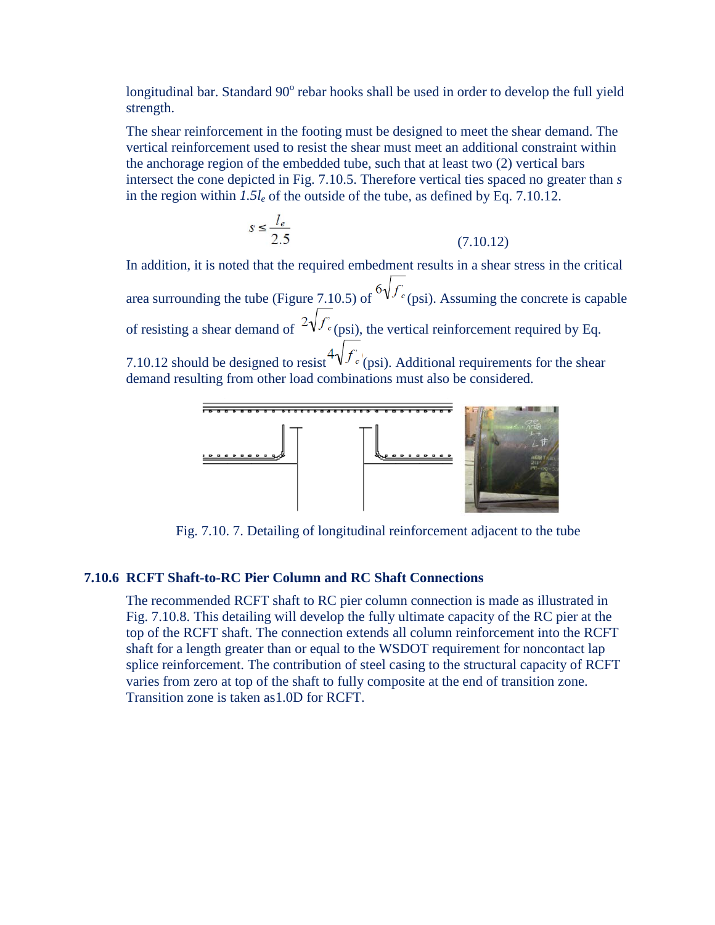longitudinal bar. Standard 90° rebar hooks shall be used in order to develop the full yield strength.

The shear reinforcement in the footing must be designed to meet the shear demand. The vertical reinforcement used to resist the shear must meet an additional constraint within the anchorage region of the embedded tube, such that at least two (2) vertical bars intersect the cone depicted in Fig. 7.10.5. Therefore vertical ties spaced no greater than *s*  in the region within *1.5le* of the outside of the tube, as defined by Eq. 7.10.12.

$$
s \le \frac{l_e}{2.5}
$$
 (7.10.12)

In addition, it is noted that the required embedment results in a shear stress in the critical area surrounding the tube (Figure 7.10.5) of  ${}^6\sqrt{f}$  (psi). Assuming the concrete is capable of resisting a shear demand of  $2\sqrt{f_c}$  (psi), the vertical reinforcement required by Eq. 7.10.12 should be designed to resist  ${}^4\sqrt{f'_e}$  (psi). Additional requirements for the shear demand resulting from other load combinations must also be considered.



Fig. 7.10. 7. Detailing of longitudinal reinforcement adjacent to the tube

## **7.10.6 RCFT Shaft-to-RC Pier Column and RC Shaft Connections**

The recommended RCFT shaft to RC pier column connection is made as illustrated in Fig. 7.10.8. This detailing will develop the fully ultimate capacity of the RC pier at the top of the RCFT shaft. The connection extends all column reinforcement into the RCFT shaft for a length greater than or equal to the WSDOT requirement for noncontact lap splice reinforcement. The contribution of steel casing to the structural capacity of RCFT varies from zero at top of the shaft to fully composite at the end of transition zone. Transition zone is taken as1.0D for RCFT.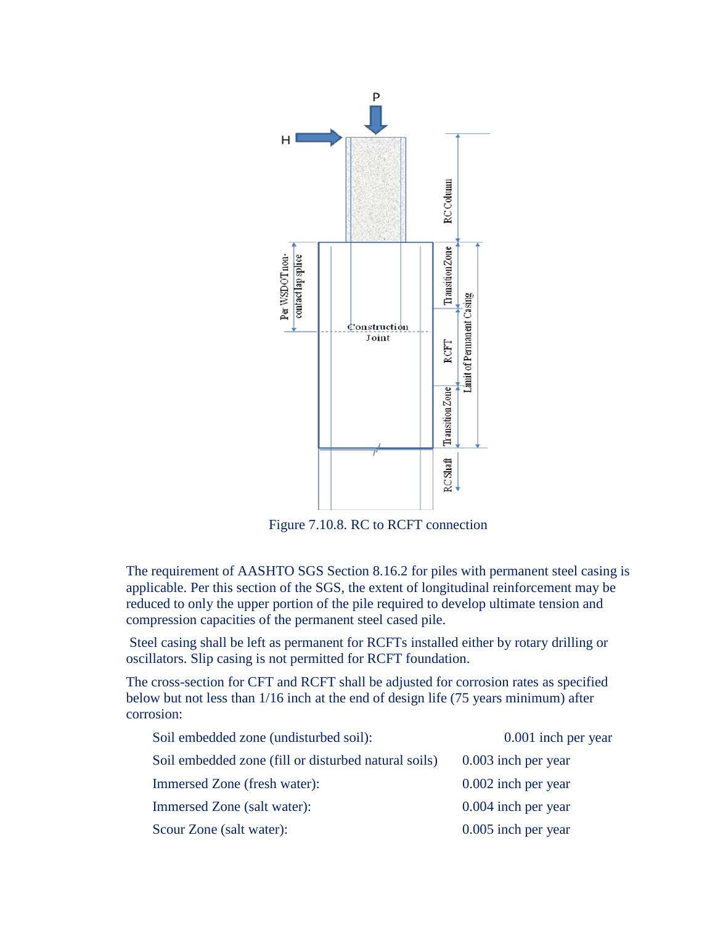

Figure 7.10.8. RC to RCFT connection

The requirement of AASHTO SGS Section 8.16.2 for piles with permanent steel casing is applicable. Per this section of the SGS, the extent of longitudinal reinforcement may be reduced to only the upper portion of the pile required to develop ultimate tension and compression capacities of the permanent steel cased pile.

Steel casing shall be left as permanent for RCFTs installed either by rotary drilling or oscillators. Slip casing is not permitted for RCFT foundation.

The cross-section for CFT and RCFT shall be adjusted for corrosion rates as specified below but not less than 1/16 inch at the end of design life (75 years minimum) after corrosion:

| Soil embedded zone (undisturbed soil):               | 0.001 inch per year |  |
|------------------------------------------------------|---------------------|--|
| Soil embedded zone (fill or disturbed natural soils) | 0.003 inch per year |  |
| Immersed Zone (fresh water):                         | 0.002 inch per year |  |
| Immersed Zone (salt water):                          | 0.004 inch per year |  |
| Scour Zone (salt water):                             | 0.005 inch per year |  |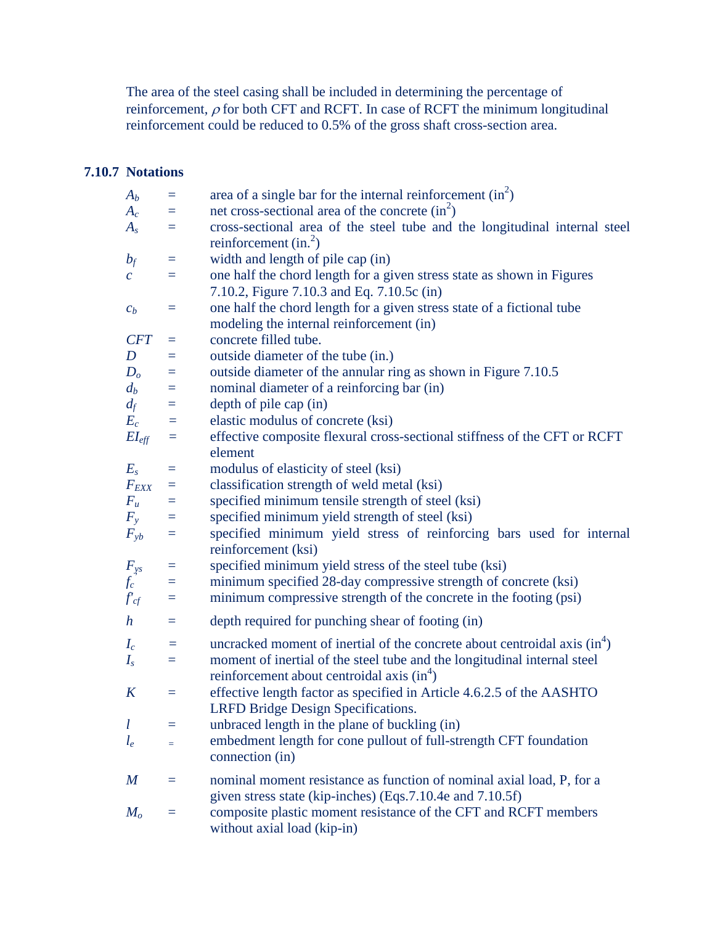The area of the steel casing shall be included in determining the percentage of reinforcement,  $\rho$  for both CFT and RCFT. In case of RCFT the minimum longitudinal reinforcement could be reduced to 0.5% of the gross shaft cross-section area.

# **7.10.7 Notations**

| $A_b$                       | $\equiv$             | area of a single bar for the internal reinforcement $(in^2)$               |
|-----------------------------|----------------------|----------------------------------------------------------------------------|
| $A_c$                       | $\equiv$             | net cross-sectional area of the concrete $(in^2)$                          |
| $A_{s}$                     | $\equiv$             | cross-sectional area of the steel tube and the longitudinal internal steel |
|                             |                      | reinforcement $(in.^2)$                                                    |
| $b_f$                       | $\equiv$             | width and length of pile cap (in)                                          |
| $\mathcal{C}_{\mathcal{C}}$ | $=$                  | one half the chord length for a given stress state as shown in Figures     |
|                             |                      | 7.10.2, Figure 7.10.3 and Eq. 7.10.5c (in)                                 |
| $c_b$                       | $\equiv$             | one half the chord length for a given stress state of a fictional tube     |
|                             |                      | modeling the internal reinforcement (in)                                   |
| CFT                         | $\equiv$             | concrete filled tube.                                                      |
| D                           | $\equiv$             | outside diameter of the tube (in.)                                         |
| $D_{o}$                     | $\equiv$             | outside diameter of the annular ring as shown in Figure 7.10.5             |
| $d_b$                       | $\equiv$             | nominal diameter of a reinforcing bar (in)                                 |
| $\overline{d_f}$ =          |                      | depth of pile cap (in)                                                     |
| $E_c$ =                     |                      | elastic modulus of concrete (ksi)                                          |
| $EI_{\text{eff}}$ =         |                      | effective composite flexural cross-sectional stiffness of the CFT or RCFT  |
|                             |                      | element                                                                    |
| $E_s$                       | $\equiv$             | modulus of elasticity of steel (ksi)                                       |
| $F_{EXX}$                   | $\equiv$             | classification strength of weld metal (ksi)                                |
| $F_u$                       | $\equiv$             | specified minimum tensile strength of steel (ksi)                          |
| $F_y$                       | $\equiv$             | specified minimum yield strength of steel (ksi)                            |
| $F_{yb}$                    | $\alpha_{\rm c} = 0$ | specified minimum yield stress of reinforcing bars used for internal       |
|                             |                      | reinforcement (ksi)                                                        |
| $F_{\rm{y}s}$<br>$f_c$      | $\equiv$             | specified minimum yield stress of the steel tube (ksi)                     |
|                             | $\equiv$             | minimum specified 28-day compressive strength of concrete (ksi)            |
| $f_{\it cf}$                | $\equiv$             | minimum compressive strength of the concrete in the footing (psi)          |
| $\boldsymbol{h}$            | $=$                  | depth required for punching shear of footing (in)                          |
| $I_c$                       | $\equiv$             | uncracked moment of inertial of the concrete about centroidal axis $(in4)$ |
| $I_{s}$                     | $\equiv$             | moment of inertial of the steel tube and the longitudinal internal steel   |
|                             |                      | reinforcement about centroidal axis $(in4)$                                |
| K                           | $=$                  | effective length factor as specified in Article 4.6.2.5 of the AASHTO      |
|                             |                      | LRFD Bridge Design Specifications.                                         |
| l                           | $=$                  | unbraced length in the plane of buckling (in)                              |
| $l_e$                       |                      | embedment length for cone pullout of full-strength CFT foundation          |
|                             | $=$                  | connection (in)                                                            |
| $\boldsymbol{M}$            | $=$                  | nominal moment resistance as function of nominal axial load, P, for a      |
|                             |                      | given stress state (kip-inches) (Eqs.7.10.4e and 7.10.5f)                  |
| $M_{o}$                     | $=$                  | composite plastic moment resistance of the CFT and RCFT members            |
|                             |                      | without axial load (kip-in)                                                |
|                             |                      |                                                                            |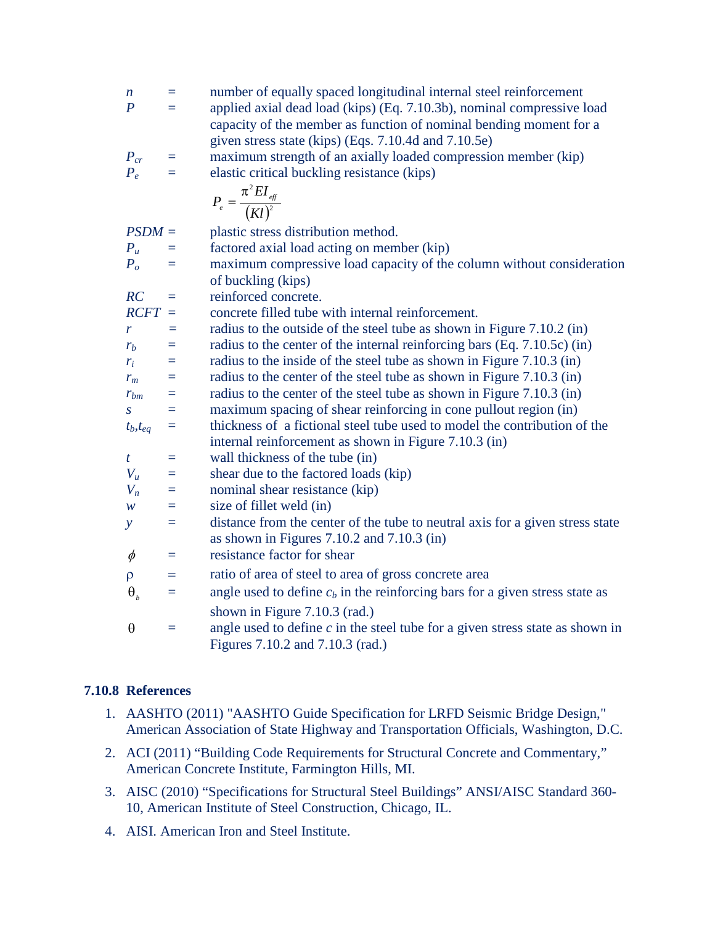| $\boldsymbol{n}$                | Ξ   | number of equally spaced longitudinal internal steel reinforcement                                                                           |
|---------------------------------|-----|----------------------------------------------------------------------------------------------------------------------------------------------|
| $\boldsymbol{P}$                | $=$ | applied axial dead load (kips) (Eq. 7.10.3b), nominal compressive load<br>capacity of the member as function of nominal bending moment for a |
|                                 |     | given stress state (kips) (Eqs. 7.10.4d and 7.10.5e)                                                                                         |
| $P_{cr}$                        | $=$ | maximum strength of an axially loaded compression member (kip)                                                                               |
| $P_e$                           | $=$ | elastic critical buckling resistance (kips)                                                                                                  |
|                                 |     | $P_e = \frac{\pi^2 EI_{\text{eff}}}{(Kl)^2}$                                                                                                 |
| $PSDM =$                        |     | plastic stress distribution method.                                                                                                          |
| $P_u$                           | Ξ   | factored axial load acting on member (kip)                                                                                                   |
| $P_o$                           | $=$ | maximum compressive load capacity of the column without consideration<br>of buckling (kips)                                                  |
| RC                              | $=$ | reinforced concrete.                                                                                                                         |
| <b>RCFT</b>                     | $=$ | concrete filled tube with internal reinforcement.                                                                                            |
| r                               | Ξ   | radius to the outside of the steel tube as shown in Figure 7.10.2 (in)                                                                       |
| $r_b$                           | Ξ   | radius to the center of the internal reinforcing bars (Eq. 7.10.5c) (in)                                                                     |
| $r_i$                           | Ξ   | radius to the inside of the steel tube as shown in Figure 7.10.3 (in)                                                                        |
| $r_m$                           | $=$ | radius to the center of the steel tube as shown in Figure 7.10.3 (in)                                                                        |
| $r_{bm}$                        | $=$ | radius to the center of the steel tube as shown in Figure 7.10.3 (in)                                                                        |
| $\boldsymbol{S}$                | $=$ | maximum spacing of shear reinforcing in cone pullout region (in)                                                                             |
| $t_b, t_{eq}$                   | $=$ | thickness of a fictional steel tube used to model the contribution of the                                                                    |
|                                 |     | internal reinforcement as shown in Figure 7.10.3 (in)                                                                                        |
| t                               | $=$ | wall thickness of the tube (in)                                                                                                              |
| $V_u$                           | $=$ | shear due to the factored loads (kip)                                                                                                        |
| $V_n$                           | Ξ   | nominal shear resistance (kip)                                                                                                               |
| W                               | $=$ | size of fillet weld (in)                                                                                                                     |
| $\mathcal{Y}$                   | $=$ | distance from the center of the tube to neutral axis for a given stress state                                                                |
|                                 |     | as shown in Figures $7.10.2$ and $7.10.3$ (in)                                                                                               |
| $\phi$                          | $=$ | resistance factor for shear                                                                                                                  |
| $\rho$                          | $=$ | ratio of area of steel to area of gross concrete area                                                                                        |
| $\theta_{\scriptscriptstyle b}$ | $=$ | angle used to define $cb$ in the reinforcing bars for a given stress state as                                                                |
|                                 |     | shown in Figure 7.10.3 (rad.)                                                                                                                |
| $\theta$                        | $=$ | angle used to define $c$ in the steel tube for a given stress state as shown in                                                              |
|                                 |     | Figures 7.10.2 and 7.10.3 (rad.)                                                                                                             |

## **7.10.8 References**

- 1. AASHTO (2011) "AASHTO Guide Specification for LRFD Seismic Bridge Design," American Association of State Highway and Transportation Officials, Washington, D.C.
- 2. ACI (2011) "Building Code Requirements for Structural Concrete and Commentary," American Concrete Institute, Farmington Hills, MI.
- 3. AISC (2010) "Specifications for Structural Steel Buildings" ANSI/AISC Standard 360- 10, American Institute of Steel Construction, Chicago, IL.
- 4. AISI. American Iron and Steel Institute.